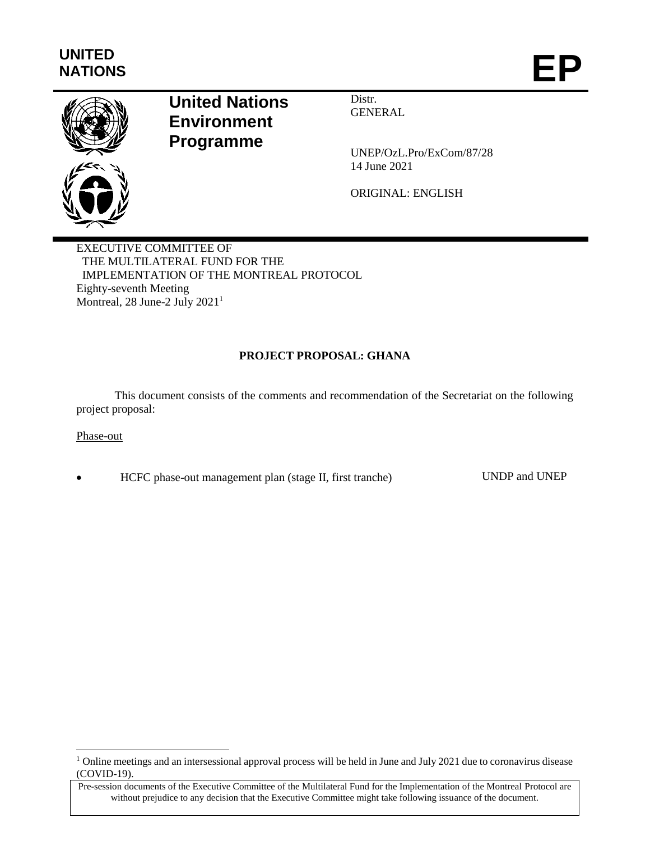## **UNITED**

# UNITED<br>NATIONS **EP**



### **United Nations Environment Programme**

Distr. **GENERAL** 

UNEP/OzL.Pro/ExCom/87/28 14 June 2021

ORIGINAL: ENGLISH

EXECUTIVE COMMITTEE OF THE MULTILATERAL FUND FOR THE IMPLEMENTATION OF THE MONTREAL PROTOCOL Eighty-seventh Meeting Montreal, 28 June-2 July 2021<sup>1</sup>

#### **PROJECT PROPOSAL: GHANA**

This document consists of the comments and recommendation of the Secretariat on the following project proposal:

Phase-out

l

HCFC phase-out management plan (stage II, first tranche) UNDP and UNEP

<sup>&</sup>lt;sup>1</sup> Online meetings and an intersessional approval process will be held in June and July 2021 due to coronavirus disease (COVID-19).

Pre-session documents of the Executive Committee of the Multilateral Fund for the Implementation of the Montreal Protocol are without prejudice to any decision that the Executive Committee might take following issuance of the document.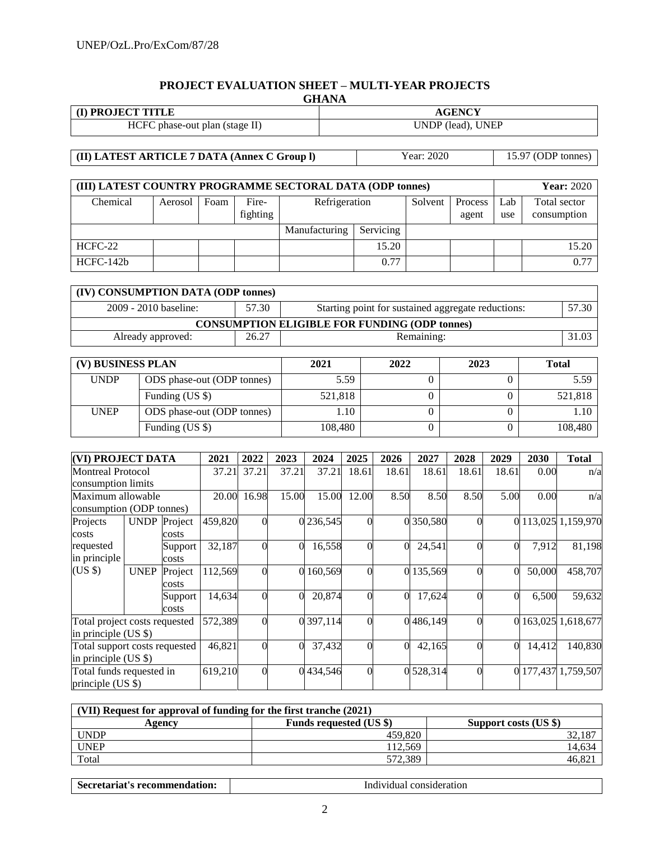#### **PROJECT EVALUATION SHEET – MULTI-YEAR PROJECTS GHANA**

| <b>I) PROJECT TITLE</b>        | <b>AGENCY</b>     |
|--------------------------------|-------------------|
| HCFC phase-out plan (stage II) | UNDP (lead), UNEP |

**(II) LATEST ARTICLE 7 DATA (Annex C Group l)** Year: 2020 15.97 (ODP tonnes)

| (III) LATEST COUNTRY PROGRAMME SECTORAL DATA (ODP tonnes) |         | <b>Year:</b> 2020 |               |               |  |         |         |     |              |
|-----------------------------------------------------------|---------|-------------------|---------------|---------------|--|---------|---------|-----|--------------|
| Chemical                                                  | Aerosol | Foam              | Fire-         | Refrigeration |  | Solvent | Process | Lab | Total sector |
|                                                           |         |                   | fighting      |               |  |         | agent   | use | consumption  |
|                                                           |         |                   | Manufacturing | Servicing     |  |         |         |     |              |
| HCFC-22                                                   |         |                   |               | 15.20         |  |         |         |     | 15.20        |
| $HCFC-142b$                                               |         |                   |               | 0.77          |  |         |         |     | 0.77         |

| (IV) CONSUMPTION DATA (ODP tonnes)                                                            |       |                                                      |       |  |  |  |  |  |  |  |
|-----------------------------------------------------------------------------------------------|-------|------------------------------------------------------|-------|--|--|--|--|--|--|--|
| 2009 - 2010 baseline:<br>57.30<br>57.30<br>Starting point for sustained aggregate reductions: |       |                                                      |       |  |  |  |  |  |  |  |
|                                                                                               |       | <b>CONSUMPTION ELIGIBLE FOR FUNDING (ODP tonnes)</b> |       |  |  |  |  |  |  |  |
| Already approved:                                                                             | 26.27 | Remaining:                                           | 31.03 |  |  |  |  |  |  |  |

| (V) BUSINESS PLAN |                            | 2021    | 2022 | 2023 | <b>Total</b> |
|-------------------|----------------------------|---------|------|------|--------------|
| <b>UNDP</b>       | ODS phase-out (ODP tonnes) | 5.59    |      |      | 5.59         |
|                   | Funding (US \$)            | 521,818 |      |      | 521,818      |
| <b>UNEP</b>       | ODS phase-out (ODP tonnes) | 1.10    |      |      | 1.10         |
|                   | Funding (US \$)            | 108,480 |      |      | 108,480      |

| <b>(VI) PROJECT DATA</b>      |                     |         | 2021    | 2022     | 2023   | 2024      | 2025     | 2026     | 2027      | 2028     | 2029     | 2030    | <b>Total</b>        |
|-------------------------------|---------------------|---------|---------|----------|--------|-----------|----------|----------|-----------|----------|----------|---------|---------------------|
| <b>Montreal Protocol</b>      |                     |         | 37.21   | 37.21    | 37.21  | 37.21     | 18.61    | 18.61    | 18.61     | 18.61    | 18.61    | 0.00    | n/a                 |
| consumption limits            |                     |         |         |          |        |           |          |          |           |          |          |         |                     |
| Maximum allowable             |                     |         | 20.00   | 16.98    | 15.00  | 15.00     | 12.00    | 8.50     | 8.50      | 8.50     | 5.00     | 0.00    | n/a                 |
| consumption (ODP tonnes)      |                     |         |         |          |        |           |          |          |           |          |          |         |                     |
| Projects                      | <b>UNDP</b> Project |         | 459,820 |          |        | 0 236,545 |          |          | 0350,580  | $\Omega$ |          |         | 0 113,025 1,159,970 |
| costs                         |                     | costs   |         |          |        |           |          |          |           |          |          |         |                     |
| requested                     |                     | Support | 32,187  |          | 0      | 16,558    |          | $\Omega$ | 24,541    | $\Omega$ | $\Omega$ | 7,912   | 81,198              |
| in principle                  |                     | costs   |         |          |        |           |          |          |           |          |          |         |                     |
| $(US \$                       | <b>UNEP</b>         | Project | 112,569 |          | 0      | 160,569   |          |          | 0 135,569 | $\Omega$ | $\Omega$ | 50,000  | 458,707             |
|                               |                     | costs   |         |          |        |           |          |          |           |          |          |         |                     |
|                               |                     | Support | 14,634  |          | 0      | 20,874    |          | $\Omega$ | 17,624    | $\theta$ | $\Omega$ | 6,500   | 59,632              |
|                               |                     | costs   |         |          |        |           |          |          |           |          |          |         |                     |
| Total project costs requested |                     |         | 572,389 |          |        | 0 397,114 |          |          | 0486,149  | $\theta$ | $\Omega$ |         | 163,025 1,618,677   |
| in principle $(US \$          |                     |         |         |          |        |           |          |          |           |          |          |         |                     |
| Total support costs requested |                     | 46,821  |         | $\Omega$ | 37,432 |           | $\Omega$ | 42,165   |           | $\Omega$ | 14,412   | 140,830 |                     |
| in principle $(US \$          |                     |         |         |          |        |           |          |          |           |          |          |         |                     |
| Total funds requested in      |                     |         | 619,210 |          |        | 0434,546  |          |          | 0 528,314 | $\Omega$ |          |         | 0 177,437 1,759,507 |
| principle (US \$)             |                     |         |         |          |        |           |          |          |           |          |          |         |                     |

| (VII) Request for approval of funding for the first tranche (2021) |                                |                       |  |  |  |  |  |  |
|--------------------------------------------------------------------|--------------------------------|-----------------------|--|--|--|--|--|--|
| Agencv                                                             | <b>Funds requested (US \$)</b> | Support costs (US \$) |  |  |  |  |  |  |
| <b>UNDP</b>                                                        | 459.820                        | 32,187                |  |  |  |  |  |  |
| UNEP                                                               | 12.569                         | 14,634                |  |  |  |  |  |  |
| Total                                                              | 572.389                        | 46,82                 |  |  |  |  |  |  |

**Secretariat's recommendation:** Individual consideration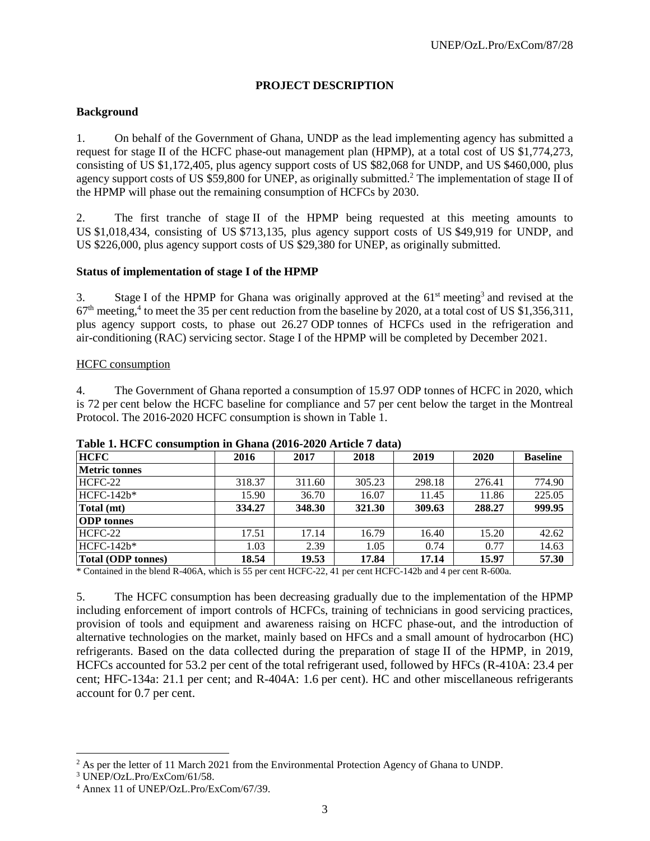#### **PROJECT DESCRIPTION**

#### **Background**

1. On behalf of the Government of Ghana, UNDP as the lead implementing agency has submitted a request for stage II of the HCFC phase-out management plan (HPMP), at a total cost of US \$1,774,273, consisting of US \$1,172,405, plus agency support costs of US \$82,068 for UNDP, and US \$460,000, plus agency support costs of US \$59,800 for UNEP, as originally submitted.<sup>2</sup> The implementation of stage II of the HPMP will phase out the remaining consumption of HCFCs by 2030.

2. The first tranche of stage II of the HPMP being requested at this meeting amounts to US \$1,018,434, consisting of US \$713,135, plus agency support costs of US \$49,919 for UNDP, and US \$226,000, plus agency support costs of US \$29,380 for UNEP, as originally submitted.

#### **Status of implementation of stage I of the HPMP**

3. Stage I of the HPMP for Ghana was originally approved at the  $61<sup>st</sup>$  meeting<sup>3</sup> and revised at the  $67<sup>th</sup>$  meeting,<sup>4</sup> to meet the 35 per cent reduction from the baseline by 2020, at a total cost of US \$1,356,311, plus agency support costs, to phase out 26.27 ODP tonnes of HCFCs used in the refrigeration and air-conditioning (RAC) servicing sector. Stage I of the HPMP will be completed by December 2021.

#### HCFC consumption

4. The Government of Ghana reported a consumption of 15.97 ODP tonnes of HCFC in 2020, which is 72 per cent below the HCFC baseline for compliance and 57 per cent below the target in the Montreal Protocol. The 2016-2020 HCFC consumption is shown in Table 1.

| <b>HCFC</b>               | 2016   | 2017   | 2018   | 2019   | 2020   | <b>Baseline</b> |
|---------------------------|--------|--------|--------|--------|--------|-----------------|
| <b>Metric tonnes</b>      |        |        |        |        |        |                 |
| HCFC-22                   | 318.37 | 311.60 | 305.23 | 298.18 | 276.41 | 774.90          |
| $HCFC-142b*$              | 15.90  | 36.70  | 16.07  | 11.45  | 11.86  | 225.05          |
| Total (mt)                | 334.27 | 348.30 | 321.30 | 309.63 | 288.27 | 999.95          |
| <b>ODP</b> tonnes         |        |        |        |        |        |                 |
| HCFC-22                   | 17.51  | 17.14  | 16.79  | 16.40  | 15.20  | 42.62           |
| $HCFC-142h*$              | 1.03   | 2.39   | 1.05   | 0.74   | 0.77   | 14.63           |
| <b>Total (ODP tonnes)</b> | 18.54  | 19.53  | 17.84  | 17.14  | 15.97  | 57.30           |

#### **Table 1. HCFC consumption in Ghana (2016-2020 Article 7 data)**

\* Contained in the blend R-406A, which is 55 per cent HCFC-22, 41 per cent HCFC-142b and 4 per cent R-600a.

5. The HCFC consumption has been decreasing gradually due to the implementation of the HPMP including enforcement of import controls of HCFCs, training of technicians in good servicing practices, provision of tools and equipment and awareness raising on HCFC phase-out, and the introduction of alternative technologies on the market, mainly based on HFCs and a small amount of hydrocarbon (HC) refrigerants. Based on the data collected during the preparation of stage II of the HPMP, in 2019, HCFCs accounted for 53.2 per cent of the total refrigerant used, followed by HFCs (R-410A: 23.4 per cent; HFC-134a: 21.1 per cent; and R-404A: 1.6 per cent). HC and other miscellaneous refrigerants account for 0.7 per cent.

l

<sup>&</sup>lt;sup>2</sup> As per the letter of 11 March 2021 from the Environmental Protection Agency of Ghana to UNDP.

<sup>3</sup> UNEP/OzL.Pro/ExCom/61/58.

<sup>4</sup> Annex 11 of UNEP/OzL.Pro/ExCom/67/39.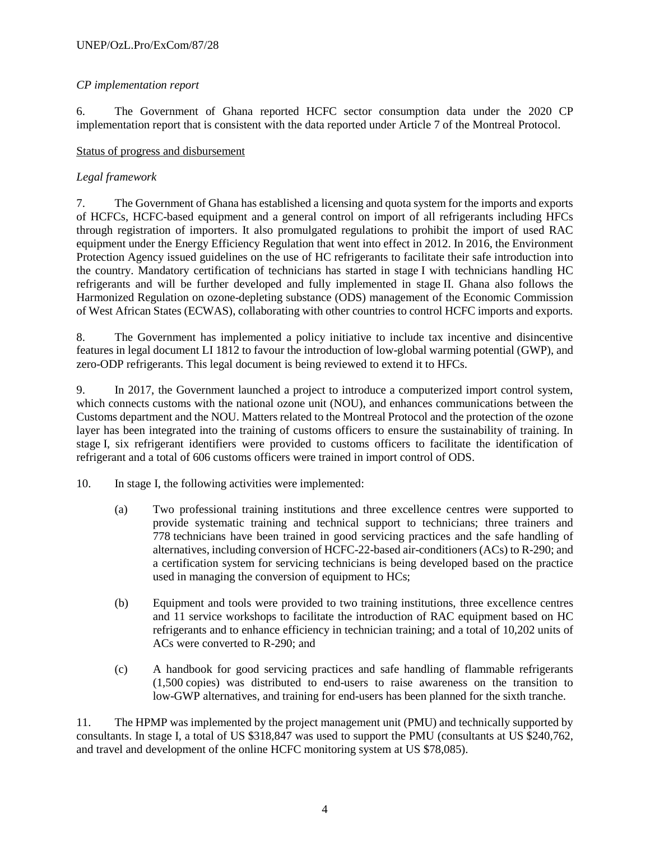#### *CP implementation report*

6. The Government of Ghana reported HCFC sector consumption data under the 2020 CP implementation report that is consistent with the data reported under Article 7 of the Montreal Protocol.

#### Status of progress and disbursement

#### *Legal framework*

7. The Government of Ghana has established a licensing and quota system for the imports and exports of HCFCs, HCFC-based equipment and a general control on import of all refrigerants including HFCs through registration of importers. It also promulgated regulations to prohibit the import of used RAC equipment under the Energy Efficiency Regulation that went into effect in 2012. In 2016, the Environment Protection Agency issued guidelines on the use of HC refrigerants to facilitate their safe introduction into the country. Mandatory certification of technicians has started in stage I with technicians handling HC refrigerants and will be further developed and fully implemented in stage II. Ghana also follows the Harmonized Regulation on ozone-depleting substance (ODS) management of the Economic Commission of West African States (ECWAS), collaborating with other countries to control HCFC imports and exports.

8. The Government has implemented a policy initiative to include tax incentive and disincentive features in legal document LI 1812 to favour the introduction of low-global warming potential (GWP), and zero-ODP refrigerants. This legal document is being reviewed to extend it to HFCs.

9. In 2017, the Government launched a project to introduce a computerized import control system, which connects customs with the national ozone unit (NOU), and enhances communications between the Customs department and the NOU. Matters related to the Montreal Protocol and the protection of the ozone layer has been integrated into the training of customs officers to ensure the sustainability of training. In stage I, six refrigerant identifiers were provided to customs officers to facilitate the identification of refrigerant and a total of 606 customs officers were trained in import control of ODS.

- 10. In stage I, the following activities were implemented:
	- (a) Two professional training institutions and three excellence centres were supported to provide systematic training and technical support to technicians; three trainers and 778 technicians have been trained in good servicing practices and the safe handling of alternatives, including conversion of HCFC-22-based air-conditioners (ACs) to R-290; and a certification system for servicing technicians is being developed based on the practice used in managing the conversion of equipment to HCs;
	- (b) Equipment and tools were provided to two training institutions, three excellence centres and 11 service workshops to facilitate the introduction of RAC equipment based on HC refrigerants and to enhance efficiency in technician training; and a total of 10,202 units of ACs were converted to R-290; and
	- (c) A handbook for good servicing practices and safe handling of flammable refrigerants (1,500 copies) was distributed to end-users to raise awareness on the transition to low-GWP alternatives, and training for end-users has been planned for the sixth tranche.

11. The HPMP was implemented by the project management unit (PMU) and technically supported by consultants. In stage I, a total of US \$318,847 was used to support the PMU (consultants at US \$240,762, and travel and development of the online HCFC monitoring system at US \$78,085).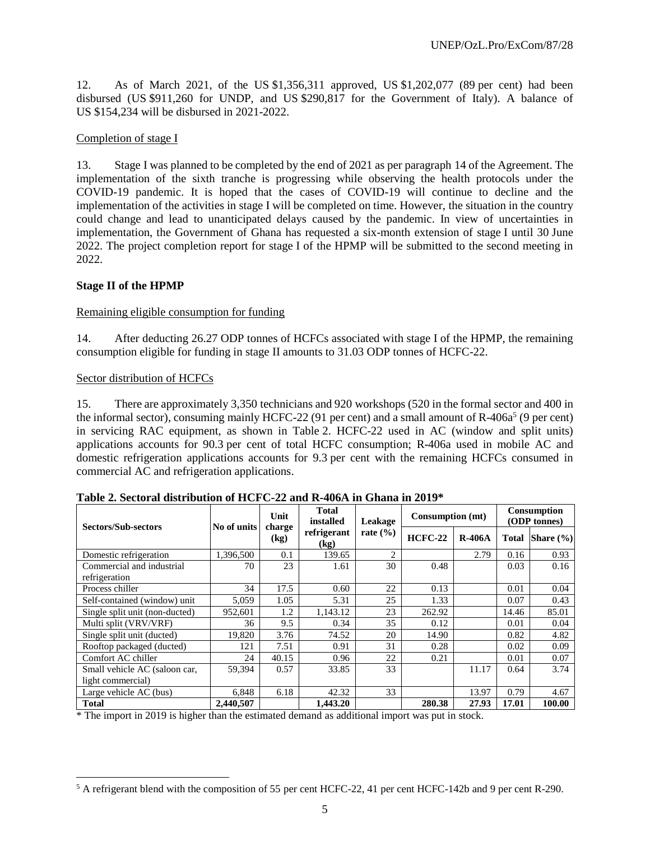12. As of March 2021, of the US \$1,356,311 approved, US \$1,202,077 (89 per cent) had been disbursed (US \$911,260 for UNDP, and US \$290,817 for the Government of Italy). A balance of US \$154,234 will be disbursed in 2021-2022.

#### Completion of stage I

13. Stage I was planned to be completed by the end of 2021 as per paragraph 14 of the Agreement. The implementation of the sixth tranche is progressing while observing the health protocols under the COVID-19 pandemic. It is hoped that the cases of COVID-19 will continue to decline and the implementation of the activities in stage I will be completed on time. However, the situation in the country could change and lead to unanticipated delays caused by the pandemic. In view of uncertainties in implementation, the Government of Ghana has requested a six-month extension of stage I until 30 June 2022. The project completion report for stage I of the HPMP will be submitted to the second meeting in 2022.

#### **Stage II of the HPMP**

#### Remaining eligible consumption for funding

14. After deducting 26.27 ODP tonnes of HCFCs associated with stage I of the HPMP, the remaining consumption eligible for funding in stage II amounts to 31.03 ODP tonnes of HCFC-22.

#### Sector distribution of HCFCs

 $\overline{a}$ 

15. There are approximately 3,350 technicians and 920 workshops (520 in the formal sector and 400 in the informal sector), consuming mainly HCFC-22 (91 per cent) and a small amount of R-406a<sup>5</sup> (9 per cent) in servicing RAC equipment, as shown in Table 2. HCFC-22 used in AC (window and split units) applications accounts for 90.3 per cent of total HCFC consumption; R-406a used in mobile AC and domestic refrigeration applications accounts for 9.3 per cent with the remaining HCFCs consumed in commercial AC and refrigeration applications.

| <b>Sectors/Sub-sectors</b>                 | No of units                                 | Unit<br>charge | <b>Total</b><br>installed | Leakage                                                                                                                                                                                                                                                                                                                                                                                                     | Consumption (mt) |               | Consumption<br>(ODP tonnes) |        |  |
|--------------------------------------------|---------------------------------------------|----------------|---------------------------|-------------------------------------------------------------------------------------------------------------------------------------------------------------------------------------------------------------------------------------------------------------------------------------------------------------------------------------------------------------------------------------------------------------|------------------|---------------|-----------------------------|--------|--|
|                                            | refrigerant<br>rate $(\% )$<br>(kg)<br>(kg) |                | $HCFC-22$                 | $R-406A$                                                                                                                                                                                                                                                                                                                                                                                                    | <b>Total</b>     | Share $(\% )$ |                             |        |  |
| Domestic refrigeration                     | 1.396.500                                   | 0.1            | 139.65                    | $\mathfrak{D}_{1}^{(1)} = \mathfrak{D}_{2}^{(1)} = \mathfrak{D}_{2}^{(1)} = \mathfrak{D}_{2}^{(1)} = \mathfrak{D}_{2}^{(1)} = \mathfrak{D}_{2}^{(1)} = \mathfrak{D}_{2}^{(1)} = \mathfrak{D}_{2}^{(1)} = \mathfrak{D}_{2}^{(1)} = \mathfrak{D}_{2}^{(1)} = \mathfrak{D}_{2}^{(1)} = \mathfrak{D}_{2}^{(1)} = \mathfrak{D}_{2}^{(1)} = \mathfrak{D}_{2}^{(1)} = \mathfrak{D}_{2}^{(1)} = \mathfrak{D}_{2}^{$ |                  | 2.79          | 0.16                        | 0.93   |  |
| Commercial and industrial<br>refrigeration | 70                                          | 23             | 1.61                      | 30                                                                                                                                                                                                                                                                                                                                                                                                          | 0.48             |               | 0.03                        | 0.16   |  |
| Process chiller                            | 34                                          | 17.5           | 0.60                      | 22                                                                                                                                                                                                                                                                                                                                                                                                          | 0.13             |               | 0.01                        | 0.04   |  |
| Self-contained (window) unit               | 5,059                                       | 1.05           | 5.31                      | 25                                                                                                                                                                                                                                                                                                                                                                                                          | 1.33             |               | 0.07                        | 0.43   |  |
| Single split unit (non-ducted)             | 952,601                                     | 1.2            | 1,143.12                  | 23                                                                                                                                                                                                                                                                                                                                                                                                          | 262.92           |               | 14.46                       | 85.01  |  |
| Multi split (VRV/VRF)                      | 36                                          | 9.5            | 0.34                      | 35                                                                                                                                                                                                                                                                                                                                                                                                          | 0.12             |               | 0.01                        | 0.04   |  |
| Single split unit (ducted)                 | 19,820                                      | 3.76           | 74.52                     | 20                                                                                                                                                                                                                                                                                                                                                                                                          | 14.90            |               | 0.82                        | 4.82   |  |
| Rooftop packaged (ducted)                  | 121                                         | 7.51           | 0.91                      | 31                                                                                                                                                                                                                                                                                                                                                                                                          | 0.28             |               | 0.02                        | 0.09   |  |
| Comfort AC chiller                         | 24                                          | 40.15          | 0.96                      | 22                                                                                                                                                                                                                                                                                                                                                                                                          | 0.21             |               | 0.01                        | 0.07   |  |
| Small vehicle AC (saloon car,              | 59,394                                      | 0.57           | 33.85                     | 33                                                                                                                                                                                                                                                                                                                                                                                                          |                  | 11.17         | 0.64                        | 3.74   |  |
| light commercial)                          |                                             |                |                           |                                                                                                                                                                                                                                                                                                                                                                                                             |                  |               |                             |        |  |
| Large vehicle AC (bus)                     | 6,848                                       | 6.18           | 42.32                     | 33                                                                                                                                                                                                                                                                                                                                                                                                          |                  | 13.97         | 0.79                        | 4.67   |  |
| <b>Total</b>                               | 2,440,507                                   |                | 1,443.20                  |                                                                                                                                                                                                                                                                                                                                                                                                             | 280.38           | 27.93         | 17.01                       | 100.00 |  |

**Table 2. Sectoral distribution of HCFC-22 and R-406A in Ghana in 2019\***

\* The import in 2019 is higher than the estimated demand as additional import was put in stock.

 $5$  A refrigerant blend with the composition of 55 per cent HCFC-22, 41 per cent HCFC-142b and 9 per cent R-290.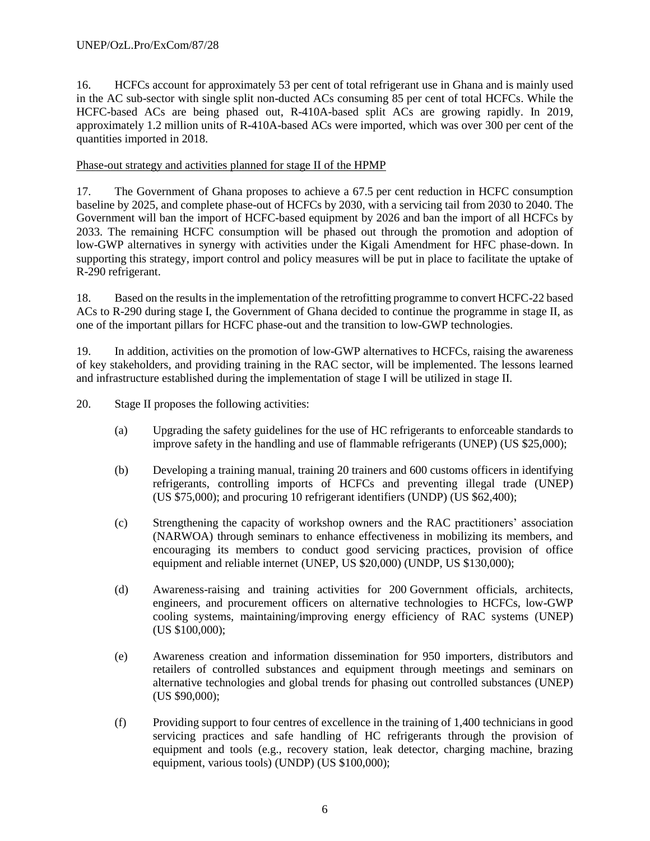16. HCFCs account for approximately 53 per cent of total refrigerant use in Ghana and is mainly used in the AC sub-sector with single split non-ducted ACs consuming 85 per cent of total HCFCs. While the HCFC-based ACs are being phased out, R-410A-based split ACs are growing rapidly. In 2019, approximately 1.2 million units of R-410A-based ACs were imported, which was over 300 per cent of the quantities imported in 2018.

#### Phase-out strategy and activities planned for stage II of the HPMP

17. The Government of Ghana proposes to achieve a 67.5 per cent reduction in HCFC consumption baseline by 2025, and complete phase-out of HCFCs by 2030, with a servicing tail from 2030 to 2040. The Government will ban the import of HCFC-based equipment by 2026 and ban the import of all HCFCs by 2033. The remaining HCFC consumption will be phased out through the promotion and adoption of low-GWP alternatives in synergy with activities under the Kigali Amendment for HFC phase-down. In supporting this strategy, import control and policy measures will be put in place to facilitate the uptake of R-290 refrigerant.

18. Based on the results in the implementation of the retrofitting programme to convert HCFC-22 based ACs to R-290 during stage I, the Government of Ghana decided to continue the programme in stage II, as one of the important pillars for HCFC phase-out and the transition to low-GWP technologies.

19. In addition, activities on the promotion of low-GWP alternatives to HCFCs, raising the awareness of key stakeholders, and providing training in the RAC sector, will be implemented. The lessons learned and infrastructure established during the implementation of stage I will be utilized in stage II.

20. Stage II proposes the following activities:

- (a) Upgrading the safety guidelines for the use of HC refrigerants to enforceable standards to improve safety in the handling and use of flammable refrigerants (UNEP) (US \$25,000);
- (b) Developing a training manual, training 20 trainers and 600 customs officers in identifying refrigerants, controlling imports of HCFCs and preventing illegal trade (UNEP) (US \$75,000); and procuring 10 refrigerant identifiers (UNDP) (US \$62,400);
- (c) Strengthening the capacity of workshop owners and the RAC practitioners' association (NARWOA) through seminars to enhance effectiveness in mobilizing its members, and encouraging its members to conduct good servicing practices, provision of office equipment and reliable internet (UNEP, US \$20,000) (UNDP, US \$130,000);
- (d) Awareness-raising and training activities for 200 Government officials, architects, engineers, and procurement officers on alternative technologies to HCFCs, low-GWP cooling systems, maintaining/improving energy efficiency of RAC systems (UNEP) (US \$100,000);
- (e) Awareness creation and information dissemination for 950 importers, distributors and retailers of controlled substances and equipment through meetings and seminars on alternative technologies and global trends for phasing out controlled substances (UNEP) (US \$90,000);
- (f) Providing support to four centres of excellence in the training of 1,400 technicians in good servicing practices and safe handling of HC refrigerants through the provision of equipment and tools (e.g., recovery station, leak detector, charging machine, brazing equipment, various tools) (UNDP) (US \$100,000);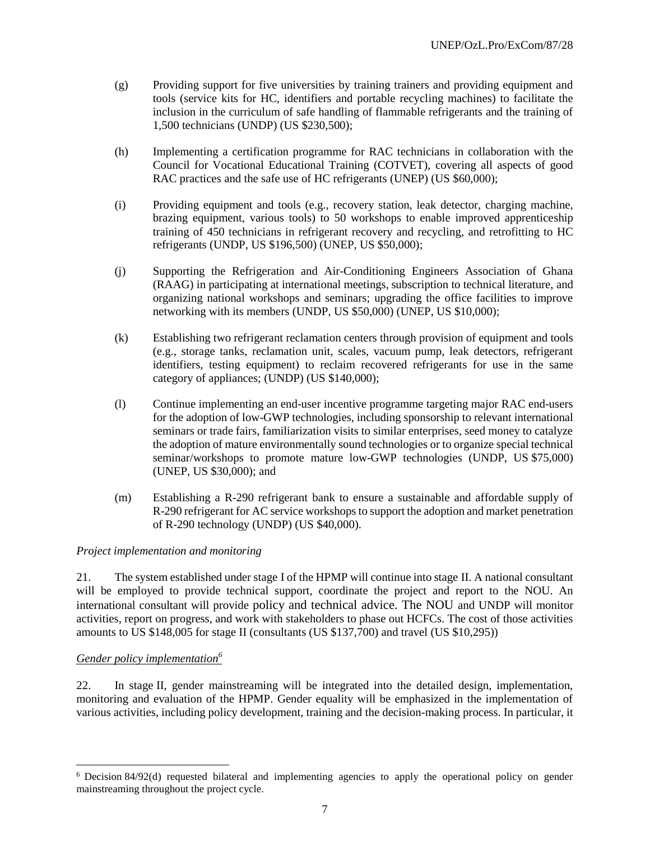- (g) Providing support for five universities by training trainers and providing equipment and tools (service kits for HC, identifiers and portable recycling machines) to facilitate the inclusion in the curriculum of safe handling of flammable refrigerants and the training of 1,500 technicians (UNDP) (US \$230,500);
- (h) Implementing a certification programme for RAC technicians in collaboration with the Council for Vocational Educational Training (COTVET), covering all aspects of good RAC practices and the safe use of HC refrigerants (UNEP) (US \$60,000);
- (i) Providing equipment and tools (e.g., recovery station, leak detector, charging machine, brazing equipment, various tools) to 50 workshops to enable improved apprenticeship training of 450 technicians in refrigerant recovery and recycling, and retrofitting to HC refrigerants (UNDP, US \$196,500) (UNEP, US \$50,000);
- (j) Supporting the Refrigeration and Air-Conditioning Engineers Association of Ghana (RAAG) in participating at international meetings, subscription to technical literature, and organizing national workshops and seminars; upgrading the office facilities to improve networking with its members (UNDP, US \$50,000) (UNEP, US \$10,000);
- (k) Establishing two refrigerant reclamation centers through provision of equipment and tools (e.g., storage tanks, reclamation unit, scales, vacuum pump, leak detectors, refrigerant identifiers, testing equipment) to reclaim recovered refrigerants for use in the same category of appliances; (UNDP) (US \$140,000);
- (l) Continue implementing an end-user incentive programme targeting major RAC end-users for the adoption of low-GWP technologies, including sponsorship to relevant international seminars or trade fairs, familiarization visits to similar enterprises, seed money to catalyze the adoption of mature environmentally sound technologies or to organize special technical seminar/workshops to promote mature low-GWP technologies (UNDP, US \$75,000) (UNEP, US \$30,000); and
- (m) Establishing a R-290 refrigerant bank to ensure a sustainable and affordable supply of R-290 refrigerant for AC service workshops to support the adoption and market penetration of R-290 technology (UNDP) (US \$40,000).

#### *Project implementation and monitoring*

21. The system established under stage I of the HPMP will continue into stage II. A national consultant will be employed to provide technical support, coordinate the project and report to the NOU. An international consultant will provide policy and technical advice. The NOU and UNDP will monitor activities, report on progress, and work with stakeholders to phase out HCFCs. The cost of those activities amounts to US \$148,005 for stage II (consultants (US \$137,700) and travel (US \$10,295))

#### *Gender policy implementation<sup>6</sup>*

l

22. In stage II, gender mainstreaming will be integrated into the detailed design, implementation, monitoring and evaluation of the HPMP. Gender equality will be emphasized in the implementation of various activities, including policy development, training and the decision-making process. In particular, it

<sup>6</sup> Decision 84/92(d) requested bilateral and implementing agencies to apply the operational policy on gender mainstreaming throughout the project cycle.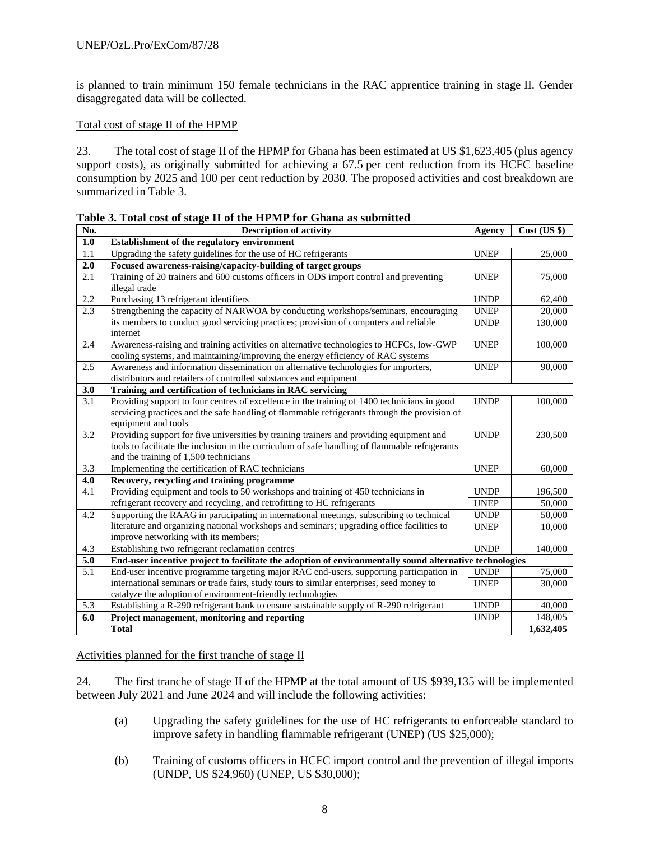is planned to train minimum 150 female technicians in the RAC apprentice training in stage II. Gender disaggregated data will be collected.

#### Total cost of stage II of the HPMP

23. The total cost of stage II of the HPMP for Ghana has been estimated at US \$1,623,405 (plus agency support costs), as originally submitted for achieving a 67.5 per cent reduction from its HCFC baseline consumption by 2025 and 100 per cent reduction by 2030. The proposed activities and cost breakdown are summarized in Table 3.

| No. | <b>Description of activity</b>                                                                          | Agency      | Cost (US \$) |
|-----|---------------------------------------------------------------------------------------------------------|-------------|--------------|
| 1.0 | Establishment of the regulatory environment                                                             |             |              |
| 1.1 | Upgrading the safety guidelines for the use of HC refrigerants                                          | <b>UNEP</b> | 25,000       |
| 2.0 | Focused awareness-raising/capacity-building of target groups                                            |             |              |
| 2.1 | Training of 20 trainers and 600 customs officers in ODS import control and preventing                   | <b>UNEP</b> | 75,000       |
|     | illegal trade                                                                                           |             |              |
| 2.2 | Purchasing 13 refrigerant identifiers                                                                   | <b>UNDP</b> | 62,400       |
| 2.3 | Strengthening the capacity of NARWOA by conducting workshops/seminars, encouraging                      | <b>UNEP</b> | 20,000       |
|     | its members to conduct good servicing practices; provision of computers and reliable                    | <b>UNDP</b> | 130,000      |
|     | internet                                                                                                |             |              |
| 2.4 | Awareness-raising and training activities on alternative technologies to HCFCs, low-GWP                 | <b>UNEP</b> | 100,000      |
|     | cooling systems, and maintaining/improving the energy efficiency of RAC systems                         |             |              |
| 2.5 | Awareness and information dissemination on alternative technologies for importers,                      | <b>UNEP</b> | 90,000       |
|     | distributors and retailers of controlled substances and equipment                                       |             |              |
| 3.0 | Training and certification of technicians in RAC servicing                                              |             |              |
| 3.1 | Providing support to four centres of excellence in the training of 1400 technicians in good             | <b>UNDP</b> | 100,000      |
|     | servicing practices and the safe handling of flammable refrigerants through the provision of            |             |              |
|     | equipment and tools                                                                                     |             |              |
| 3.2 | Providing support for five universities by training trainers and providing equipment and                | <b>UNDP</b> | 230,500      |
|     | tools to facilitate the inclusion in the curriculum of safe handling of flammable refrigerants          |             |              |
|     | and the training of 1,500 technicians                                                                   |             |              |
| 3.3 | Implementing the certification of RAC technicians                                                       | <b>UNEP</b> | 60,000       |
| 4.0 | Recovery, recycling and training programme                                                              |             |              |
| 4.1 | Providing equipment and tools to 50 workshops and training of 450 technicians in                        | <b>UNDP</b> | 196,500      |
|     | refrigerant recovery and recycling, and retrofitting to HC refrigerants                                 | <b>UNEP</b> | 50,000       |
| 4.2 | Supporting the RAAG in participating in international meetings, subscribing to technical                | <b>UNDP</b> | 50,000       |
|     | literature and organizing national workshops and seminars; upgrading office facilities to               | <b>UNEP</b> | 10,000       |
|     | improve networking with its members;                                                                    |             |              |
| 4.3 | Establishing two refrigerant reclamation centres                                                        | <b>UNDP</b> | 140,000      |
| 5.0 | End-user incentive project to facilitate the adoption of environmentally sound alternative technologies |             |              |
| 5.1 | End-user incentive programme targeting major RAC end-users, supporting participation in                 | <b>UNDP</b> | 75,000       |
|     | international seminars or trade fairs, study tours to similar enterprises, seed money to                | <b>UNEP</b> | 30,000       |
|     | catalyze the adoption of environment-friendly technologies                                              |             |              |
| 5.3 | Establishing a R-290 refrigerant bank to ensure sustainable supply of R-290 refrigerant                 | <b>UNDP</b> | 40,000       |
| 6.0 | Project management, monitoring and reporting                                                            | <b>UNDP</b> | 148,005      |
|     | <b>Total</b>                                                                                            |             | 1,632,405    |

**Table 3. Total cost of stage II of the HPMP for Ghana as submitted**

Activities planned for the first tranche of stage II

24. The first tranche of stage II of the HPMP at the total amount of US \$939,135 will be implemented between July 2021 and June 2024 and will include the following activities:

- (a) Upgrading the safety guidelines for the use of HC refrigerants to enforceable standard to improve safety in handling flammable refrigerant (UNEP) (US \$25,000);
- (b) Training of customs officers in HCFC import control and the prevention of illegal imports (UNDP, US \$24,960) (UNEP, US \$30,000);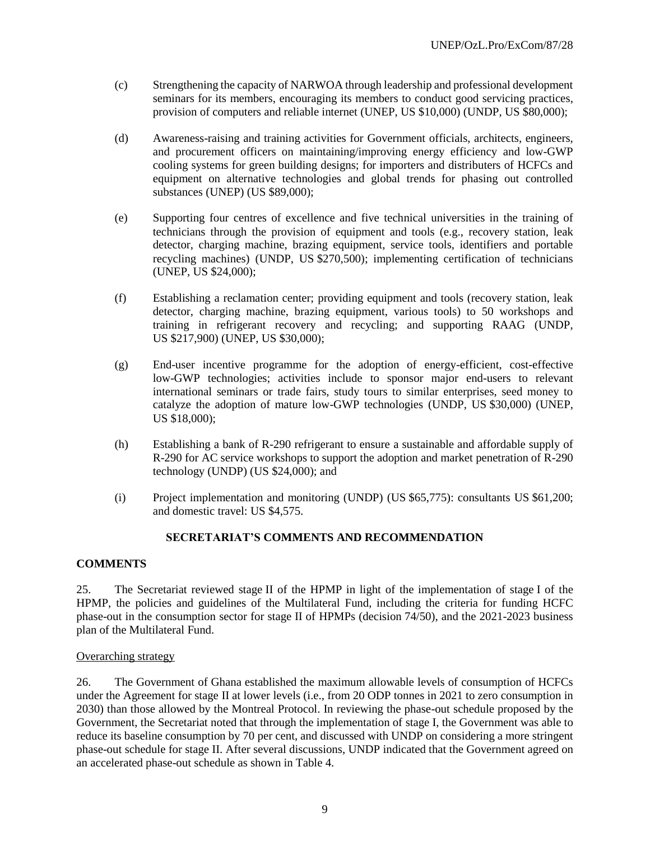- (c) Strengthening the capacity of NARWOA through leadership and professional development seminars for its members, encouraging its members to conduct good servicing practices, provision of computers and reliable internet (UNEP, US \$10,000) (UNDP, US \$80,000);
- (d) Awareness-raising and training activities for Government officials, architects, engineers, and procurement officers on maintaining/improving energy efficiency and low-GWP cooling systems for green building designs; for importers and distributers of HCFCs and equipment on alternative technologies and global trends for phasing out controlled substances (UNEP) (US \$89,000);
- (e) Supporting four centres of excellence and five technical universities in the training of technicians through the provision of equipment and tools (e.g., recovery station, leak detector, charging machine, brazing equipment, service tools, identifiers and portable recycling machines) (UNDP, US \$270,500); implementing certification of technicians (UNEP, US \$24,000);
- (f) Establishing a reclamation center; providing equipment and tools (recovery station, leak detector, charging machine, brazing equipment, various tools) to 50 workshops and training in refrigerant recovery and recycling; and supporting RAAG (UNDP, US \$217,900) (UNEP, US \$30,000);
- (g) End-user incentive programme for the adoption of energy-efficient, cost-effective low-GWP technologies; activities include to sponsor major end-users to relevant international seminars or trade fairs, study tours to similar enterprises, seed money to catalyze the adoption of mature low-GWP technologies (UNDP, US \$30,000) (UNEP, US \$18,000);
- (h) Establishing a bank of R-290 refrigerant to ensure a sustainable and affordable supply of R-290 for AC service workshops to support the adoption and market penetration of R-290 technology (UNDP) (US \$24,000); and
- (i) Project implementation and monitoring (UNDP) (US \$65,775): consultants US \$61,200; and domestic travel: US \$4,575.

#### **SECRETARIAT'S COMMENTS AND RECOMMENDATION**

#### **COMMENTS**

25. The Secretariat reviewed stage II of the HPMP in light of the implementation of stage I of the HPMP, the policies and guidelines of the Multilateral Fund, including the criteria for funding HCFC phase-out in the consumption sector for stage II of HPMPs (decision 74/50), and the 2021-2023 business plan of the Multilateral Fund.

#### Overarching strategy

26. The Government of Ghana established the maximum allowable levels of consumption of HCFCs under the Agreement for stage II at lower levels (i.e., from 20 ODP tonnes in 2021 to zero consumption in 2030) than those allowed by the Montreal Protocol. In reviewing the phase-out schedule proposed by the Government, the Secretariat noted that through the implementation of stage I, the Government was able to reduce its baseline consumption by 70 per cent, and discussed with UNDP on considering a more stringent phase-out schedule for stage II. After several discussions, UNDP indicated that the Government agreed on an accelerated phase-out schedule as shown in Table 4.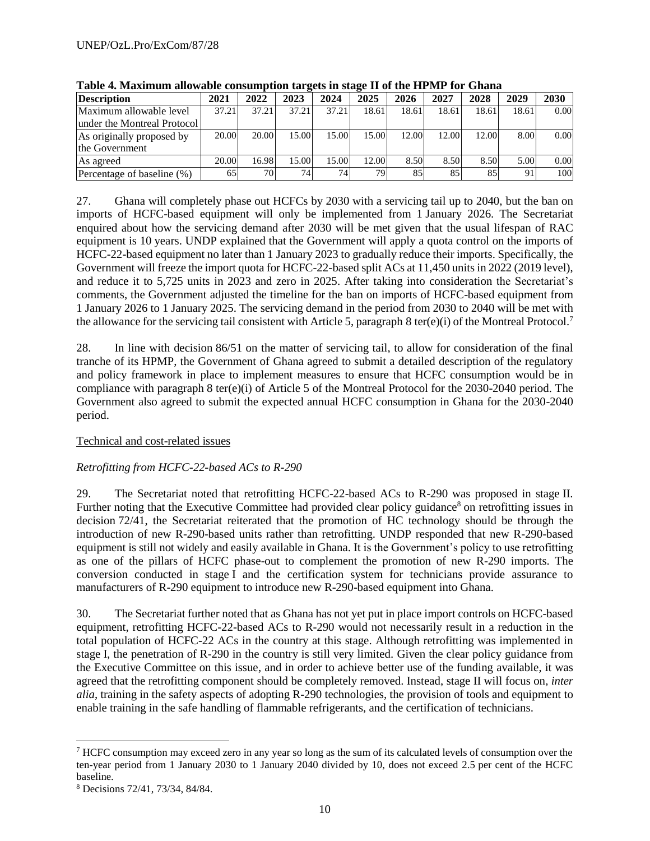| <b>Description</b>          | <b>2021</b> | 2022  | 2023  | 2024  | 2025  | 2026  | 2027  | 2028  | 2029  | 2030 |
|-----------------------------|-------------|-------|-------|-------|-------|-------|-------|-------|-------|------|
| Maximum allowable level     | 37.21       | 37.21 | 37.21 | 37.21 | 18.61 | 18.61 | 18.61 | 18.61 | 18.61 | 0.00 |
| under the Montreal Protocol |             |       |       |       |       |       |       |       |       |      |
| As originally proposed by   | 20.00       | 20.00 | 15.00 | 15.00 | 15.00 | 12.00 | 12.00 | 12.00 | 8.00  | 0.00 |
| the Government              |             |       |       |       |       |       |       |       |       |      |
| As agreed                   | 20.00       | 16.98 | 15.00 | 15.00 | 12.00 | 8.50  | 8.50  | 8.50  | 5.00  | 0.00 |
| Percentage of baseline (%)  | 65          | 70    | 74    | 74    | 79    | 85    | 85    | 85    | 91    | 100  |

**Table 4. Maximum allowable consumption targets in stage II of the HPMP for Ghana**

27. Ghana will completely phase out HCFCs by 2030 with a servicing tail up to 2040, but the ban on imports of HCFC-based equipment will only be implemented from 1 January 2026. The Secretariat enquired about how the servicing demand after 2030 will be met given that the usual lifespan of RAC equipment is 10 years. UNDP explained that the Government will apply a quota control on the imports of HCFC-22-based equipment no later than 1 January 2023 to gradually reduce their imports. Specifically, the Government will freeze the import quota for HCFC-22-based split ACs at 11,450 units in 2022 (2019 level), and reduce it to 5,725 units in 2023 and zero in 2025. After taking into consideration the Secretariat's comments, the Government adjusted the timeline for the ban on imports of HCFC-based equipment from 1 January 2026 to 1 January 2025. The servicing demand in the period from 2030 to 2040 will be met with the allowance for the servicing tail consistent with Article 5, paragraph 8 ter(e)(i) of the Montreal Protocol.<sup>7</sup>

28. In line with decision 86/51 on the matter of servicing tail, to allow for consideration of the final tranche of its HPMP, the Government of Ghana agreed to submit a detailed description of the regulatory and policy framework in place to implement measures to ensure that HCFC consumption would be in compliance with paragraph 8 ter(e)(i) of Article 5 of the Montreal Protocol for the 2030-2040 period. The Government also agreed to submit the expected annual HCFC consumption in Ghana for the 2030-2040 period.

#### Technical and cost-related issues

#### *Retrofitting from HCFC-22-based ACs to R-290*

29. The Secretariat noted that retrofitting HCFC-22-based ACs to R-290 was proposed in stage II. Further noting that the Executive Committee had provided clear policy guidance<sup>8</sup> on retrofitting issues in decision 72/41, the Secretariat reiterated that the promotion of HC technology should be through the introduction of new R-290-based units rather than retrofitting. UNDP responded that new R-290-based equipment is still not widely and easily available in Ghana. It is the Government's policy to use retrofitting as one of the pillars of HCFC phase-out to complement the promotion of new R-290 imports. The conversion conducted in stage I and the certification system for technicians provide assurance to manufacturers of R-290 equipment to introduce new R-290-based equipment into Ghana.

30. The Secretariat further noted that as Ghana has not yet put in place import controls on HCFC-based equipment, retrofitting HCFC-22-based ACs to R-290 would not necessarily result in a reduction in the total population of HCFC-22 ACs in the country at this stage. Although retrofitting was implemented in stage I, the penetration of R-290 in the country is still very limited. Given the clear policy guidance from the Executive Committee on this issue, and in order to achieve better use of the funding available, it was agreed that the retrofitting component should be completely removed. Instead, stage II will focus on*, inter alia*, training in the safety aspects of adopting R-290 technologies, the provision of tools and equipment to enable training in the safe handling of flammable refrigerants, and the certification of technicians.

l  $7$  HCFC consumption may exceed zero in any year so long as the sum of its calculated levels of consumption over the ten-year period from 1 January 2030 to 1 January 2040 divided by 10, does not exceed 2.5 per cent of the HCFC baseline.

<sup>8</sup> Decisions 72/41, 73/34, 84/84.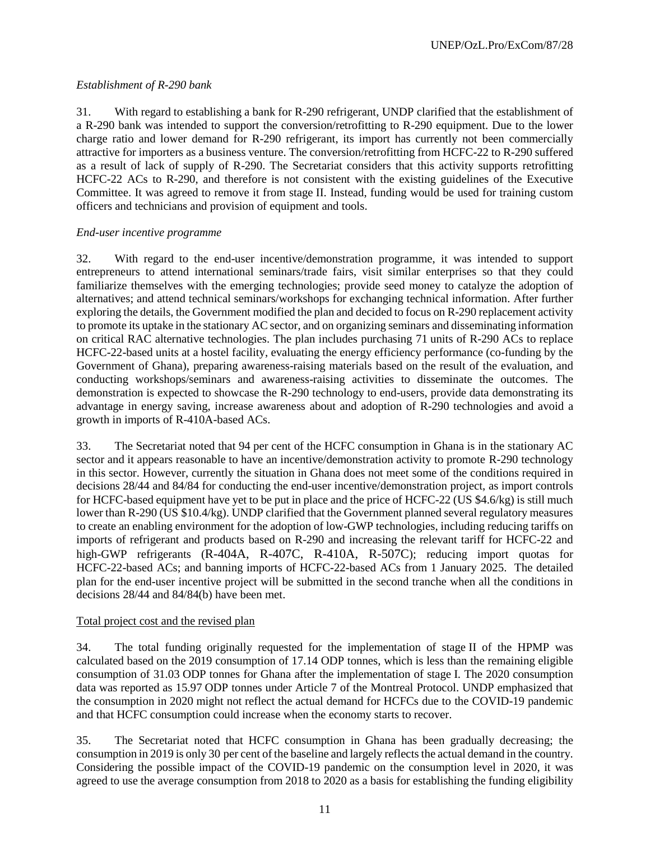#### *Establishment of R-290 bank*

31. With regard to establishing a bank for R-290 refrigerant, UNDP clarified that the establishment of a R-290 bank was intended to support the conversion/retrofitting to R-290 equipment. Due to the lower charge ratio and lower demand for R-290 refrigerant, its import has currently not been commercially attractive for importers as a business venture. The conversion/retrofitting from HCFC-22 to R-290 suffered as a result of lack of supply of R-290. The Secretariat considers that this activity supports retrofitting HCFC-22 ACs to R-290, and therefore is not consistent with the existing guidelines of the Executive Committee. It was agreed to remove it from stage II. Instead, funding would be used for training custom officers and technicians and provision of equipment and tools.

#### *End-user incentive programme*

32. With regard to the end-user incentive/demonstration programme, it was intended to support entrepreneurs to attend international seminars/trade fairs, visit similar enterprises so that they could familiarize themselves with the emerging technologies; provide seed money to catalyze the adoption of alternatives; and attend technical seminars/workshops for exchanging technical information. After further exploring the details, the Government modified the plan and decided to focus on R-290 replacement activity to promote its uptake in the stationary AC sector, and on organizing seminars and disseminating information on critical RAC alternative technologies. The plan includes purchasing 71 units of R-290 ACs to replace HCFC-22-based units at a hostel facility, evaluating the energy efficiency performance (co-funding by the Government of Ghana), preparing awareness-raising materials based on the result of the evaluation, and conducting workshops/seminars and awareness-raising activities to disseminate the outcomes. The demonstration is expected to showcase the R-290 technology to end-users, provide data demonstrating its advantage in energy saving, increase awareness about and adoption of R-290 technologies and avoid a growth in imports of R-410A-based ACs.

33. The Secretariat noted that 94 per cent of the HCFC consumption in Ghana is in the stationary AC sector and it appears reasonable to have an incentive/demonstration activity to promote R-290 technology in this sector. However, currently the situation in Ghana does not meet some of the conditions required in decisions 28/44 and 84/84 for conducting the end-user incentive/demonstration project, as import controls for HCFC-based equipment have yet to be put in place and the price of HCFC-22 (US \$4.6/kg) is still much lower than R-290 (US \$10.4/kg). UNDP clarified that the Government planned several regulatory measures to create an enabling environment for the adoption of low-GWP technologies, including reducing tariffs on imports of refrigerant and products based on R-290 and increasing the relevant tariff for HCFC-22 and high-GWP refrigerants (R-404A, R-407C, R-410A, R-507C); reducing import quotas for HCFC-22-based ACs; and banning imports of HCFC-22-based ACs from 1 January 2025. The detailed plan for the end-user incentive project will be submitted in the second tranche when all the conditions in decisions 28/44 and 84/84(b) have been met.

#### Total project cost and the revised plan

34. The total funding originally requested for the implementation of stage II of the HPMP was calculated based on the 2019 consumption of 17.14 ODP tonnes, which is less than the remaining eligible consumption of 31.03 ODP tonnes for Ghana after the implementation of stage I. The 2020 consumption data was reported as 15.97 ODP tonnes under Article 7 of the Montreal Protocol. UNDP emphasized that the consumption in 2020 might not reflect the actual demand for HCFCs due to the COVID-19 pandemic and that HCFC consumption could increase when the economy starts to recover.

35. The Secretariat noted that HCFC consumption in Ghana has been gradually decreasing; the consumption in 2019 is only 30 per cent of the baseline and largely reflects the actual demand in the country. Considering the possible impact of the COVID-19 pandemic on the consumption level in 2020, it was agreed to use the average consumption from 2018 to 2020 as a basis for establishing the funding eligibility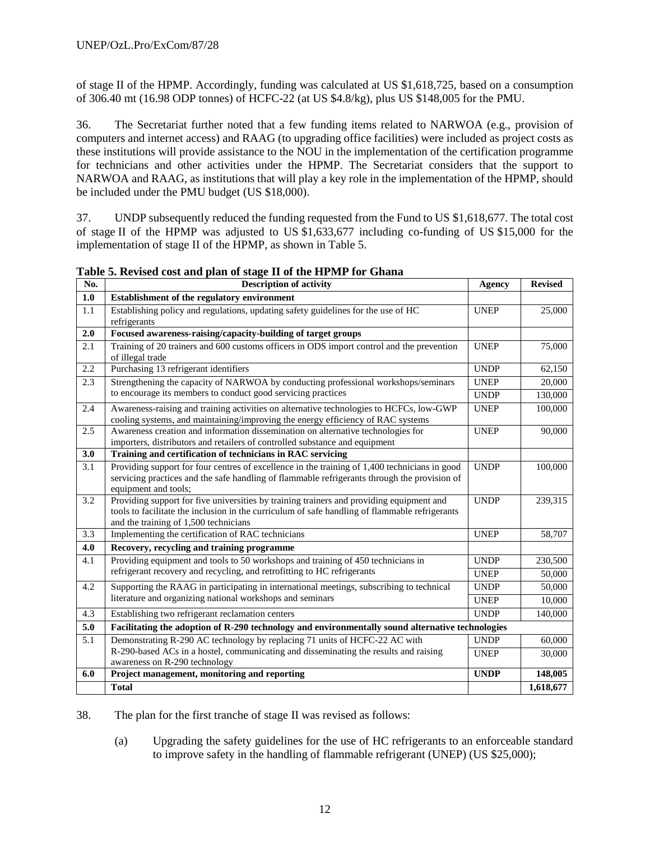of stage II of the HPMP. Accordingly, funding was calculated at US \$1,618,725, based on a consumption of 306.40 mt (16.98 ODP tonnes) of HCFC-22 (at US \$4.8/kg), plus US \$148,005 for the PMU.

36. The Secretariat further noted that a few funding items related to NARWOA (e.g., provision of computers and internet access) and RAAG (to upgrading office facilities) were included as project costs as these institutions will provide assistance to the NOU in the implementation of the certification programme for technicians and other activities under the HPMP. The Secretariat considers that the support to NARWOA and RAAG, as institutions that will play a key role in the implementation of the HPMP, should be included under the PMU budget (US \$18,000).

37. UNDP subsequently reduced the funding requested from the Fund to US \$1,618,677. The total cost of stage II of the HPMP was adjusted to US \$1,633,677 including co-funding of US \$15,000 for the implementation of stage II of the HPMP, as shown in Table 5.

| No. | Description of activity                                                                                                                                                                                                             | Agency      | <b>Revised</b> |
|-----|-------------------------------------------------------------------------------------------------------------------------------------------------------------------------------------------------------------------------------------|-------------|----------------|
| 1.0 | Establishment of the regulatory environment                                                                                                                                                                                         |             |                |
| 1.1 | Establishing policy and regulations, updating safety guidelines for the use of HC<br>refrigerants                                                                                                                                   | <b>UNEP</b> | 25,000         |
| 2.0 | Focused awareness-raising/capacity-building of target groups                                                                                                                                                                        |             |                |
| 2.1 | Training of 20 trainers and 600 customs officers in ODS import control and the prevention<br>of illegal trade                                                                                                                       | <b>UNEP</b> | 75,000         |
| 2.2 | Purchasing 13 refrigerant identifiers                                                                                                                                                                                               | <b>UNDP</b> | 62,150         |
| 2.3 | Strengthening the capacity of NARWOA by conducting professional workshops/seminars                                                                                                                                                  | <b>UNEP</b> | 20,000         |
|     | to encourage its members to conduct good servicing practices                                                                                                                                                                        | <b>UNDP</b> | 130,000        |
| 2.4 | Awareness-raising and training activities on alternative technologies to HCFCs, low-GWP<br>cooling systems, and maintaining/improving the energy efficiency of RAC systems                                                          | <b>UNEP</b> | 100,000        |
| 2.5 | Awareness creation and information dissemination on alternative technologies for<br>importers, distributors and retailers of controlled substance and equipment                                                                     | <b>UNEP</b> | 90,000         |
| 3.0 | Training and certification of technicians in RAC servicing                                                                                                                                                                          |             |                |
| 3.1 | Providing support for four centres of excellence in the training of 1,400 technicians in good<br>servicing practices and the safe handling of flammable refrigerants through the provision of<br>equipment and tools;               | <b>UNDP</b> | 100,000        |
| 3.2 | Providing support for five universities by training trainers and providing equipment and<br>tools to facilitate the inclusion in the curriculum of safe handling of flammable refrigerants<br>and the training of 1,500 technicians | <b>UNDP</b> | 239,315        |
| 3.3 | Implementing the certification of RAC technicians                                                                                                                                                                                   | <b>UNEP</b> | 58,707         |
| 4.0 | Recovery, recycling and training programme                                                                                                                                                                                          |             |                |
| 4.1 | Providing equipment and tools to 50 workshops and training of 450 technicians in                                                                                                                                                    | <b>UNDP</b> | 230,500        |
|     | refrigerant recovery and recycling, and retrofitting to HC refrigerants                                                                                                                                                             | <b>UNEP</b> | 50,000         |
| 4.2 | Supporting the RAAG in participating in international meetings, subscribing to technical                                                                                                                                            | <b>UNDP</b> | 50,000         |
|     | literature and organizing national workshops and seminars                                                                                                                                                                           | <b>UNEP</b> | 10,000         |
| 4.3 | Establishing two refrigerant reclamation centers                                                                                                                                                                                    | <b>UNDP</b> | 140,000        |
| 5.0 | Facilitating the adoption of R-290 technology and environmentally sound alternative technologies                                                                                                                                    |             |                |
| 5.1 | Demonstrating R-290 AC technology by replacing 71 units of HCFC-22 AC with                                                                                                                                                          | <b>UNDP</b> | 60,000         |
|     | R-290-based ACs in a hostel, communicating and disseminating the results and raising                                                                                                                                                | <b>UNEP</b> | 30,000         |
|     | awareness on R-290 technology                                                                                                                                                                                                       |             |                |
| 6.0 | Project management, monitoring and reporting                                                                                                                                                                                        | <b>UNDP</b> | 148,005        |
|     | <b>Total</b>                                                                                                                                                                                                                        |             | 1,618,677      |

**Table 5. Revised cost and plan of stage II of the HPMP for Ghana**

38. The plan for the first tranche of stage II was revised as follows:

(a) Upgrading the safety guidelines for the use of HC refrigerants to an enforceable standard to improve safety in the handling of flammable refrigerant (UNEP) (US \$25,000);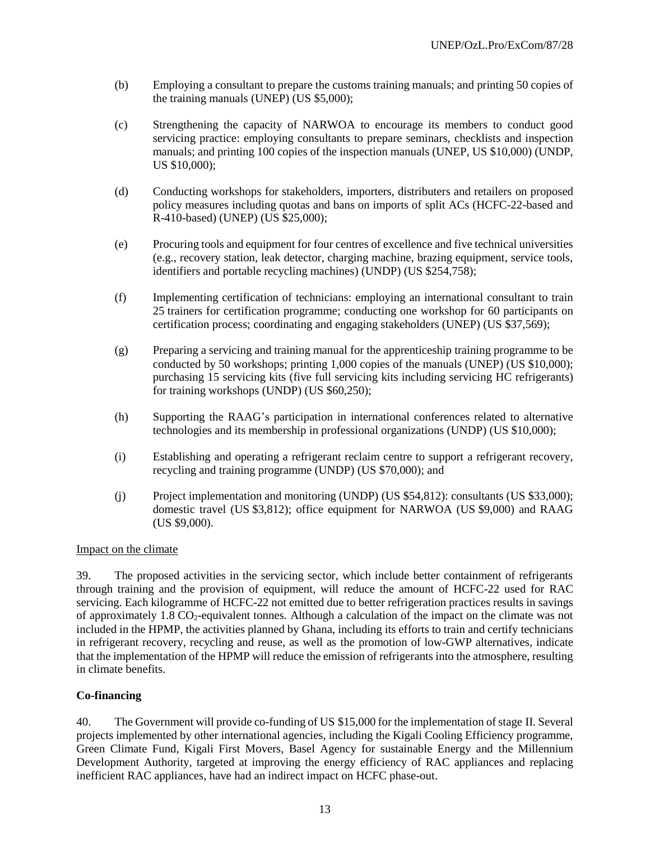- (b) Employing a consultant to prepare the customs training manuals; and printing 50 copies of the training manuals (UNEP) (US \$5,000);
- (c) Strengthening the capacity of NARWOA to encourage its members to conduct good servicing practice: employing consultants to prepare seminars, checklists and inspection manuals; and printing 100 copies of the inspection manuals (UNEP, US \$10,000) (UNDP, US \$10,000);
- (d) Conducting workshops for stakeholders, importers, distributers and retailers on proposed policy measures including quotas and bans on imports of split ACs (HCFC-22-based and R-410-based) (UNEP) (US \$25,000);
- (e) Procuring tools and equipment for four centres of excellence and five technical universities (e.g., recovery station, leak detector, charging machine, brazing equipment, service tools, identifiers and portable recycling machines) (UNDP) (US \$254,758);
- (f) Implementing certification of technicians: employing an international consultant to train 25 trainers for certification programme; conducting one workshop for 60 participants on certification process; coordinating and engaging stakeholders (UNEP) (US \$37,569);
- (g) Preparing a servicing and training manual for the apprenticeship training programme to be conducted by 50 workshops; printing 1,000 copies of the manuals (UNEP) (US \$10,000); purchasing 15 servicing kits (five full servicing kits including servicing HC refrigerants) for training workshops (UNDP) (US \$60,250);
- (h) Supporting the RAAG's participation in international conferences related to alternative technologies and its membership in professional organizations (UNDP) (US \$10,000);
- (i) Establishing and operating a refrigerant reclaim centre to support a refrigerant recovery, recycling and training programme (UNDP) (US \$70,000); and
- (j) Project implementation and monitoring (UNDP) (US \$54,812): consultants (US \$33,000); domestic travel (US \$3,812); office equipment for NARWOA (US \$9,000) and RAAG (US \$9,000).

#### Impact on the climate

39. The proposed activities in the servicing sector, which include better containment of refrigerants through training and the provision of equipment, will reduce the amount of HCFC-22 used for RAC servicing. Each kilogramme of HCFC-22 not emitted due to better refrigeration practices results in savings of approximately  $1.8 \text{ CO}_2$ -equivalent tonnes. Although a calculation of the impact on the climate was not included in the HPMP, the activities planned by Ghana, including its efforts to train and certify technicians in refrigerant recovery, recycling and reuse, as well as the promotion of low-GWP alternatives, indicate that the implementation of the HPMP will reduce the emission of refrigerants into the atmosphere, resulting in climate benefits.

#### **Co-financing**

40. The Government will provide co-funding of US \$15,000 for the implementation of stage II. Several projects implemented by other international agencies, including the Kigali Cooling Efficiency programme, Green Climate Fund, Kigali First Movers, Basel Agency for sustainable Energy and the Millennium Development Authority, targeted at improving the energy efficiency of RAC appliances and replacing inefficient RAC appliances, have had an indirect impact on HCFC phase-out.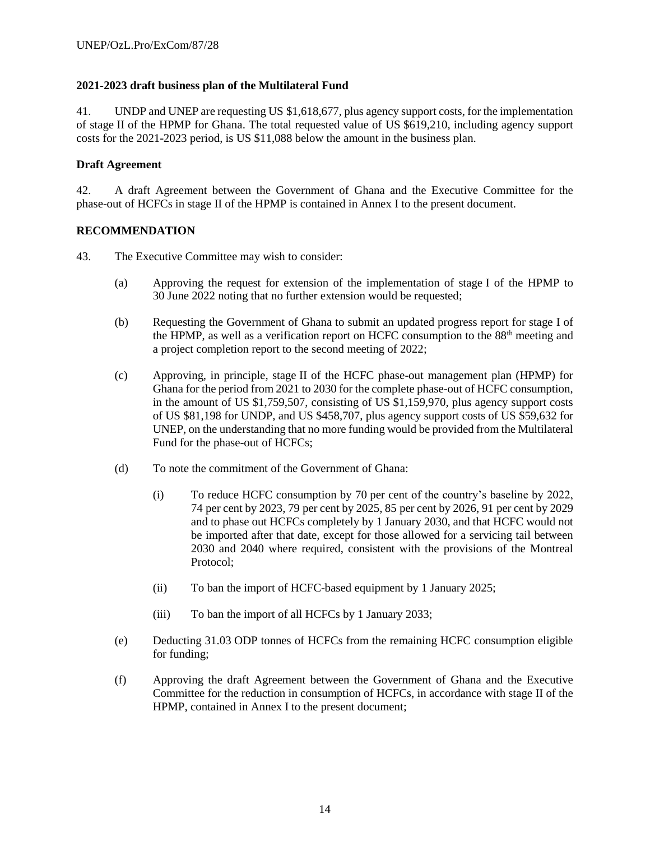#### **2021-2023 draft business plan of the Multilateral Fund**

41. UNDP and UNEP are requesting US \$1,618,677, plus agency support costs, for the implementation of stage II of the HPMP for Ghana. The total requested value of US \$619,210, including agency support costs for the 2021-2023 period, is US \$11,088 below the amount in the business plan.

#### **Draft Agreement**

42. A draft Agreement between the Government of Ghana and the Executive Committee for the phase-out of HCFCs in stage II of the HPMP is contained in Annex I to the present document.

#### **RECOMMENDATION**

- 43. The Executive Committee may wish to consider:
	- (a) Approving the request for extension of the implementation of stage I of the HPMP to 30 June 2022 noting that no further extension would be requested;
	- (b) Requesting the Government of Ghana to submit an updated progress report for stage I of the HPMP, as well as a verification report on HCFC consumption to the  $88<sup>th</sup>$  meeting and a project completion report to the second meeting of 2022;
	- (c) Approving, in principle, stage II of the HCFC phase-out management plan (HPMP) for Ghana for the period from 2021 to 2030 for the complete phase-out of HCFC consumption, in the amount of US \$1,759,507, consisting of US \$1,159,970, plus agency support costs of US \$81,198 for UNDP, and US \$458,707, plus agency support costs of US \$59,632 for UNEP, on the understanding that no more funding would be provided from the Multilateral Fund for the phase-out of HCFCs;
	- (d) To note the commitment of the Government of Ghana:
		- (i) To reduce HCFC consumption by 70 per cent of the country's baseline by 2022, 74 per cent by 2023, 79 per cent by 2025, 85 per cent by 2026, 91 per cent by 2029 and to phase out HCFCs completely by 1 January 2030, and that HCFC would not be imported after that date, except for those allowed for a servicing tail between 2030 and 2040 where required, consistent with the provisions of the Montreal Protocol;
		- (ii) To ban the import of HCFC-based equipment by 1 January 2025;
		- (iii) To ban the import of all HCFCs by 1 January 2033;
	- (e) Deducting 31.03 ODP tonnes of HCFCs from the remaining HCFC consumption eligible for funding;
	- (f) Approving the draft Agreement between the Government of Ghana and the Executive Committee for the reduction in consumption of HCFCs, in accordance with stage II of the HPMP, contained in Annex I to the present document;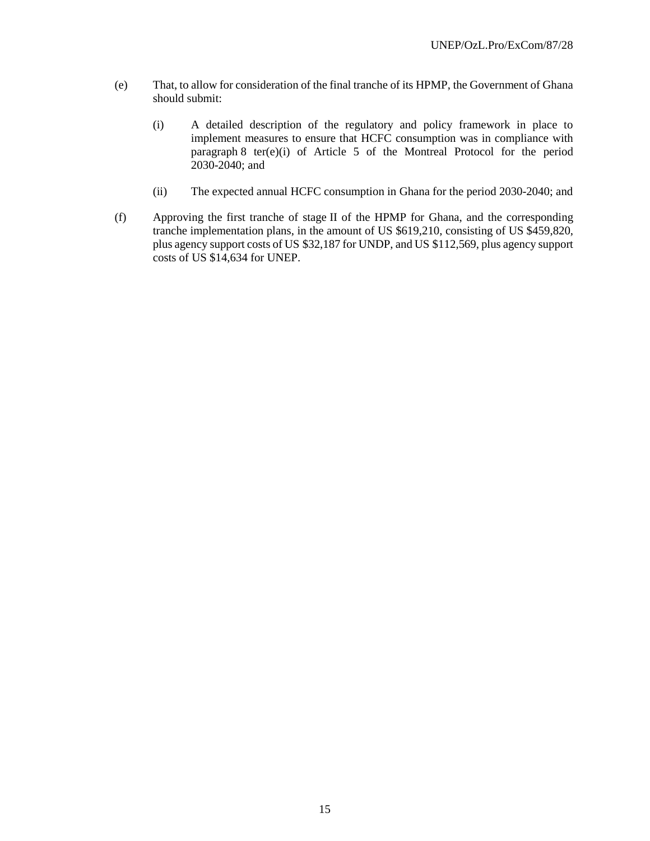- (e) That, to allow for consideration of the final tranche of its HPMP, the Government of Ghana should submit:
	- (i) A detailed description of the regulatory and policy framework in place to implement measures to ensure that HCFC consumption was in compliance with paragraph 8 ter(e)(i) of Article 5 of the Montreal Protocol for the period  $2030 - 2040$ ; and
	- (ii) The expected annual HCFC consumption in Ghana for the period 2030-2040; and
- (f) Approving the first tranche of stage II of the HPMP for Ghana, and the corresponding tranche implementation plans, in the amount of US \$619,210, consisting of US \$459,820, plus agency support costs of US \$32,187 for UNDP, and US \$112,569, plus agency support costs of US \$14,634 for UNEP.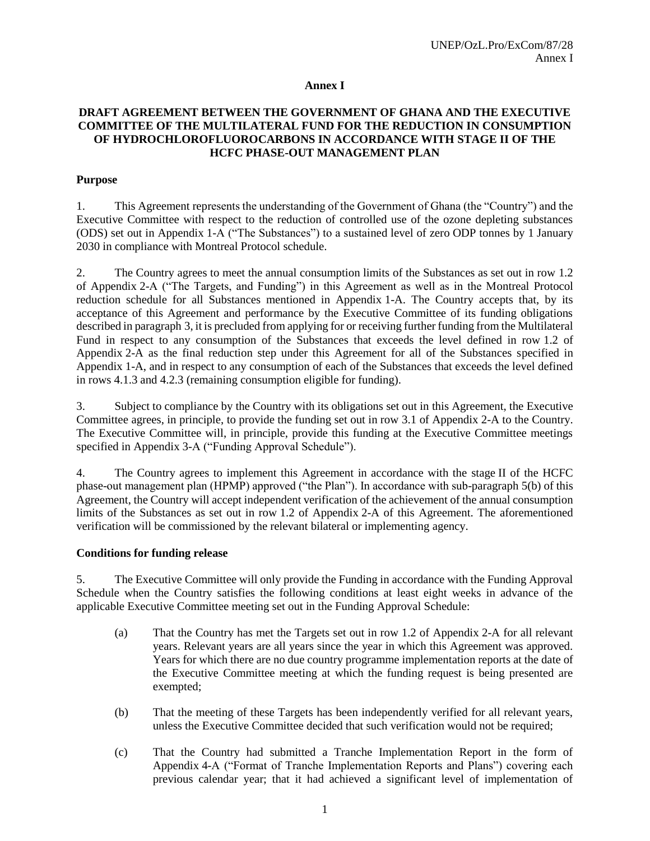#### **Annex I**

#### **DRAFT AGREEMENT BETWEEN THE GOVERNMENT OF GHANA AND THE EXECUTIVE COMMITTEE OF THE MULTILATERAL FUND FOR THE REDUCTION IN CONSUMPTION OF HYDROCHLOROFLUOROCARBONS IN ACCORDANCE WITH STAGE II OF THE HCFC PHASE-OUT MANAGEMENT PLAN**

#### **Purpose**

1. This Agreement represents the understanding of the Government of Ghana (the "Country") and the Executive Committee with respect to the reduction of controlled use of the ozone depleting substances (ODS) set out in Appendix 1-A ("The Substances") to a sustained level of zero ODP tonnes by 1 January 2030 in compliance with Montreal Protocol schedule.

2. The Country agrees to meet the annual consumption limits of the Substances as set out in row 1.2 of Appendix 2-A ("The Targets, and Funding") in this Agreement as well as in the Montreal Protocol reduction schedule for all Substances mentioned in Appendix 1-A. The Country accepts that, by its acceptance of this Agreement and performance by the Executive Committee of its funding obligations described in paragraph 3, it is precluded from applying for or receiving further funding from the Multilateral Fund in respect to any consumption of the Substances that exceeds the level defined in row 1.2 of Appendix 2-A as the final reduction step under this Agreement for all of the Substances specified in Appendix 1-A, and in respect to any consumption of each of the Substances that exceeds the level defined in rows 4.1.3 and 4.2.3 (remaining consumption eligible for funding).

3. Subject to compliance by the Country with its obligations set out in this Agreement, the Executive Committee agrees, in principle, to provide the funding set out in row 3.1 of Appendix 2-A to the Country. The Executive Committee will, in principle, provide this funding at the Executive Committee meetings specified in Appendix 3-A ("Funding Approval Schedule").

4. The Country agrees to implement this Agreement in accordance with the stage II of the HCFC phase-out management plan (HPMP) approved ("the Plan"). In accordance with sub-paragraph 5(b) of this Agreement, the Country will accept independent verification of the achievement of the annual consumption limits of the Substances as set out in row 1.2 of Appendix 2-A of this Agreement. The aforementioned verification will be commissioned by the relevant bilateral or implementing agency.

#### **Conditions for funding release**

5. The Executive Committee will only provide the Funding in accordance with the Funding Approval Schedule when the Country satisfies the following conditions at least eight weeks in advance of the applicable Executive Committee meeting set out in the Funding Approval Schedule:

- (a) That the Country has met the Targets set out in row 1.2 of Appendix 2-A for all relevant years. Relevant years are all years since the year in which this Agreement was approved. Years for which there are no due country programme implementation reports at the date of the Executive Committee meeting at which the funding request is being presented are exempted;
- (b) That the meeting of these Targets has been independently verified for all relevant years, unless the Executive Committee decided that such verification would not be required;
- (c) That the Country had submitted a Tranche Implementation Report in the form of Appendix 4-A ("Format of Tranche Implementation Reports and Plans") covering each previous calendar year; that it had achieved a significant level of implementation of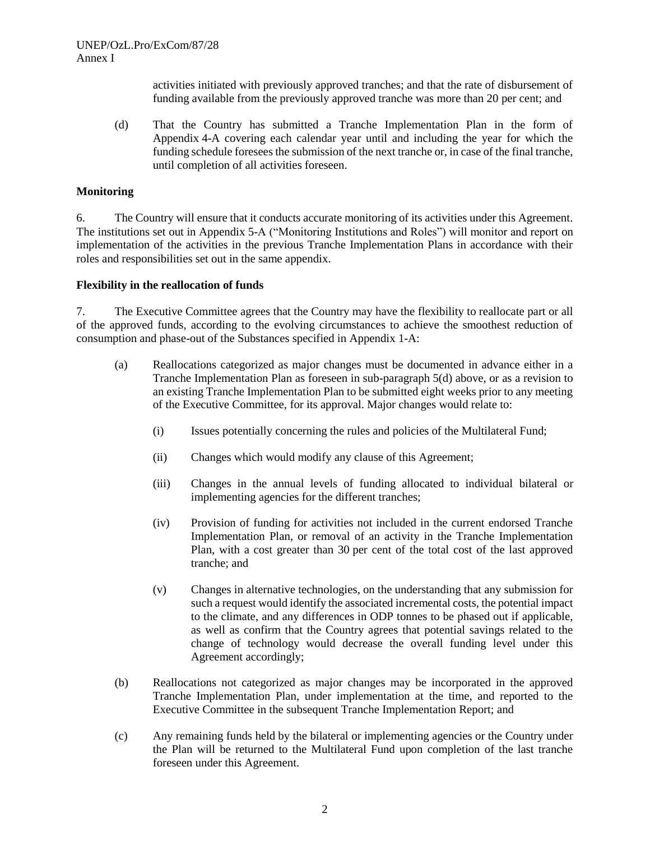activities initiated with previously approved tranches; and that the rate of disbursement of funding available from the previously approved tranche was more than 20 per cent; and

(d) That the Country has submitted a Tranche Implementation Plan in the form of Appendix 4-A covering each calendar year until and including the year for which the funding schedule foresees the submission of the next tranche or, in case of the final tranche, until completion of all activities foreseen.

#### **Monitoring**

6. The Country will ensure that it conducts accurate monitoring of its activities under this Agreement. The institutions set out in Appendix 5-A ("Monitoring Institutions and Roles") will monitor and report on implementation of the activities in the previous Tranche Implementation Plans in accordance with their roles and responsibilities set out in the same appendix.

#### **Flexibility in the reallocation of funds**

7. The Executive Committee agrees that the Country may have the flexibility to reallocate part or all of the approved funds, according to the evolving circumstances to achieve the smoothest reduction of consumption and phase-out of the Substances specified in Appendix 1-A:

- (a) Reallocations categorized as major changes must be documented in advance either in a Tranche Implementation Plan as foreseen in sub-paragraph 5(d) above, or as a revision to an existing Tranche Implementation Plan to be submitted eight weeks prior to any meeting of the Executive Committee, for its approval. Major changes would relate to:
	- (i) Issues potentially concerning the rules and policies of the Multilateral Fund;
	- (ii) Changes which would modify any clause of this Agreement;
	- (iii) Changes in the annual levels of funding allocated to individual bilateral or implementing agencies for the different tranches;
	- (iv) Provision of funding for activities not included in the current endorsed Tranche Implementation Plan, or removal of an activity in the Tranche Implementation Plan, with a cost greater than 30 per cent of the total cost of the last approved tranche; and
	- (v) Changes in alternative technologies, on the understanding that any submission for such a request would identify the associated incremental costs, the potential impact to the climate, and any differences in ODP tonnes to be phased out if applicable, as well as confirm that the Country agrees that potential savings related to the change of technology would decrease the overall funding level under this Agreement accordingly;
- (b) Reallocations not categorized as major changes may be incorporated in the approved Tranche Implementation Plan, under implementation at the time, and reported to the Executive Committee in the subsequent Tranche Implementation Report; and
- (c) Any remaining funds held by the bilateral or implementing agencies or the Country under the Plan will be returned to the Multilateral Fund upon completion of the last tranche foreseen under this Agreement.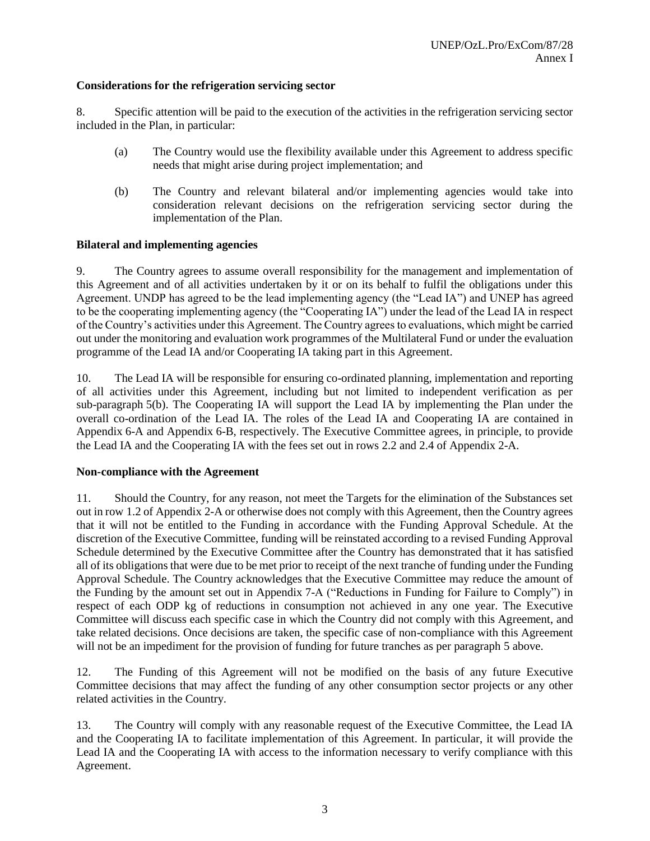#### **Considerations for the refrigeration servicing sector**

8. Specific attention will be paid to the execution of the activities in the refrigeration servicing sector included in the Plan, in particular:

- (a) The Country would use the flexibility available under this Agreement to address specific needs that might arise during project implementation; and
- (b) The Country and relevant bilateral and/or implementing agencies would take into consideration relevant decisions on the refrigeration servicing sector during the implementation of the Plan.

#### **Bilateral and implementing agencies**

9. The Country agrees to assume overall responsibility for the management and implementation of this Agreement and of all activities undertaken by it or on its behalf to fulfil the obligations under this Agreement. UNDP has agreed to be the lead implementing agency (the "Lead IA") and UNEP has agreed to be the cooperating implementing agency (the "Cooperating IA") under the lead of the Lead IA in respect of the Country's activities under this Agreement. The Country agrees to evaluations, which might be carried out under the monitoring and evaluation work programmes of the Multilateral Fund or under the evaluation programme of the Lead IA and/or Cooperating IA taking part in this Agreement.

10. The Lead IA will be responsible for ensuring co-ordinated planning, implementation and reporting of all activities under this Agreement, including but not limited to independent verification as per sub-paragraph 5(b). The Cooperating IA will support the Lead IA by implementing the Plan under the overall co-ordination of the Lead IA. The roles of the Lead IA and Cooperating IA are contained in Appendix 6-A and Appendix 6-B, respectively. The Executive Committee agrees, in principle, to provide the Lead IA and the Cooperating IA with the fees set out in rows 2.2 and 2.4 of Appendix 2-A.

#### **Non-compliance with the Agreement**

11. Should the Country, for any reason, not meet the Targets for the elimination of the Substances set out in row 1.2 of Appendix 2-A or otherwise does not comply with this Agreement, then the Country agrees that it will not be entitled to the Funding in accordance with the Funding Approval Schedule. At the discretion of the Executive Committee, funding will be reinstated according to a revised Funding Approval Schedule determined by the Executive Committee after the Country has demonstrated that it has satisfied all of its obligations that were due to be met prior to receipt of the next tranche of funding under the Funding Approval Schedule. The Country acknowledges that the Executive Committee may reduce the amount of the Funding by the amount set out in Appendix 7-A ("Reductions in Funding for Failure to Comply") in respect of each ODP kg of reductions in consumption not achieved in any one year. The Executive Committee will discuss each specific case in which the Country did not comply with this Agreement, and take related decisions. Once decisions are taken, the specific case of non-compliance with this Agreement will not be an impediment for the provision of funding for future tranches as per paragraph 5 above.

12. The Funding of this Agreement will not be modified on the basis of any future Executive Committee decisions that may affect the funding of any other consumption sector projects or any other related activities in the Country.

13. The Country will comply with any reasonable request of the Executive Committee, the Lead IA and the Cooperating IA to facilitate implementation of this Agreement. In particular, it will provide the Lead IA and the Cooperating IA with access to the information necessary to verify compliance with this Agreement.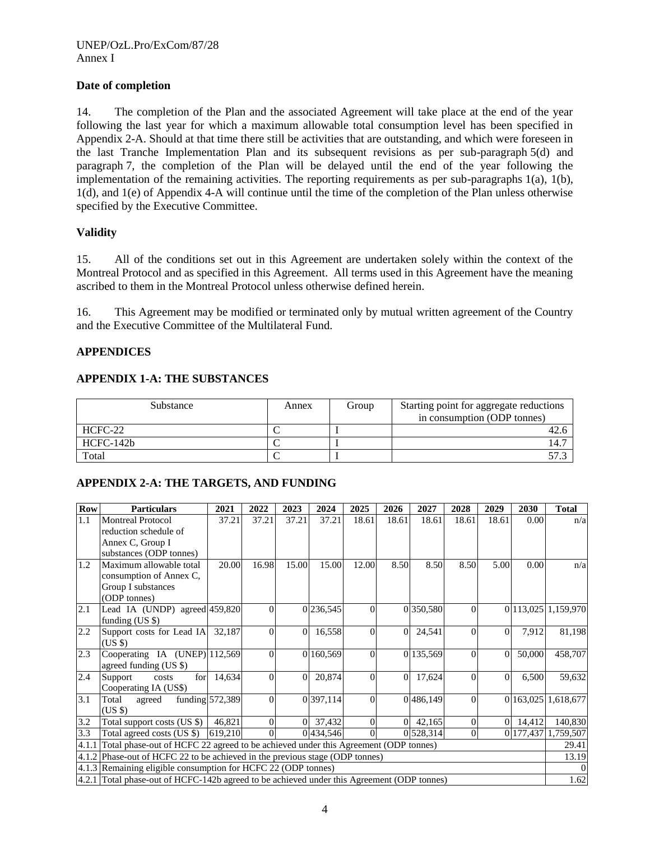#### **Date of completion**

14. The completion of the Plan and the associated Agreement will take place at the end of the year following the last year for which a maximum allowable total consumption level has been specified in Appendix 2-A. Should at that time there still be activities that are outstanding, and which were foreseen in the last Tranche Implementation Plan and its subsequent revisions as per sub-paragraph 5(d) and paragraph 7, the completion of the Plan will be delayed until the end of the year following the implementation of the remaining activities. The reporting requirements as per sub-paragraphs 1(a), 1(b), 1(d), and 1(e) of Appendix 4-A will continue until the time of the completion of the Plan unless otherwise specified by the Executive Committee.

#### **Validity**

15. All of the conditions set out in this Agreement are undertaken solely within the context of the Montreal Protocol and as specified in this Agreement. All terms used in this Agreement have the meaning ascribed to them in the Montreal Protocol unless otherwise defined herein.

16. This Agreement may be modified or terminated only by mutual written agreement of the Country and the Executive Committee of the Multilateral Fund.

#### **APPENDICES**

#### **APPENDIX 1-A: THE SUBSTANCES**

| Substance | Annex | Group | Starting point for aggregate reductions<br>in consumption (ODP tonnes) |
|-----------|-------|-------|------------------------------------------------------------------------|
| HCFC-22   |       |       | 42.6                                                                   |
| HCFC-142b |       |       | 14.7                                                                   |
| Total     |       |       |                                                                        |

#### **APPENDIX 2-A: THE TARGETS, AND FUNDING**

| <b>Row</b> | <b>Particulars</b>                                                                         | 2021            | 2022     | 2023     | 2024                   | 2025     | 2026           | 2027      | 2028           | 2029     | 2030   | <b>Total</b>        |
|------------|--------------------------------------------------------------------------------------------|-----------------|----------|----------|------------------------|----------|----------------|-----------|----------------|----------|--------|---------------------|
| 1.1        | <b>Montreal Protocol</b>                                                                   | 37.21           | 37.21    | 37.21    | 37.21                  | 18.61    | 18.61          | 18.61     | 18.61          | 18.61    | 0.00   | n/a                 |
|            | reduction schedule of                                                                      |                 |          |          |                        |          |                |           |                |          |        |                     |
|            | Annex C, Group I                                                                           |                 |          |          |                        |          |                |           |                |          |        |                     |
|            | substances (ODP tonnes)                                                                    |                 |          |          |                        |          |                |           |                |          |        |                     |
| 1.2        | Maximum allowable total                                                                    | 20.00           | 16.98    | 15.00    | 15.00                  | 12.00    | 8.50           | 8.50      | 8.50           | 5.00     | 0.00   | n/a                 |
|            | consumption of Annex C,                                                                    |                 |          |          |                        |          |                |           |                |          |        |                     |
|            | Group I substances                                                                         |                 |          |          |                        |          |                |           |                |          |        |                     |
|            | (ODP tonnes)                                                                               |                 |          |          |                        |          |                |           |                |          |        |                     |
| 2.1        | Lead IA (UNDP) agreed 459,820                                                              |                 | $\theta$ |          | 0 236,545              | $\Omega$ |                | 0 350,580 | $\theta$       |          |        | 0 113,025 1,159,970 |
|            | funding $(US \$                                                                            |                 |          |          |                        |          |                |           |                |          |        |                     |
| 2.2        | Support costs for Lead IA                                                                  | 32,187          | $\theta$ | 0        | 16,558                 | $\Omega$ | $\Omega$       | 24,541    | $\theta$       | $\Omega$ | 7,912  | 81,198              |
|            | (USS)                                                                                      |                 |          |          |                        |          |                |           |                |          |        |                     |
| 2.3        | Cooperating IA (UNEP) 112,569                                                              |                 | $\theta$ |          | 0 160,569              | $\Omega$ |                | 0 135,569 | $\Omega$       | $\Omega$ | 50,000 | 458,707             |
|            | agreed funding (US \$)                                                                     |                 |          |          |                        |          |                |           |                |          |        |                     |
| 2.4        | for<br>Support<br>costs                                                                    | 14,634          | $\Omega$ | $\Omega$ | 20,874                 | $\Omega$ | $\overline{0}$ | 17,624    | $\overline{0}$ | $\Omega$ | 6,500  | 59,632              |
|            | Cooperating IA (US\$)                                                                      |                 |          |          |                        |          |                |           |                |          |        |                     |
| 3.1        | Total<br>agreed                                                                            | funding 572,389 | $\theta$ |          | 0 397,114              | $\Omega$ |                | 0486,149  | $\overline{0}$ |          |        | 0 163,025 1,618,677 |
|            | (USS)                                                                                      |                 |          |          |                        |          |                |           |                |          |        |                     |
| 3.2        | Total support costs (US \$)                                                                | 46,821          | $\Omega$ | 0        | 37,432                 | $\Omega$ | $\Omega$       | 42,165    | $\overline{0}$ | $\Omega$ | 14,412 | 140,830             |
| 3.3        | Total agreed costs (US \$)                                                                 | 619,210         | $\theta$ |          | $\overline{0}$ 434,546 | $\Omega$ |                | 0 528,314 | $\Omega$       |          |        | 0 177,437 1,759,507 |
|            | 4.1.1 Total phase-out of HCFC 22 agreed to be achieved under this Agreement (ODP tonnes)   |                 |          |          |                        |          |                |           |                |          |        | 29.41               |
|            | 4.1.2 Phase-out of HCFC 22 to be achieved in the previous stage (ODP tonnes)               |                 |          |          |                        |          |                |           |                |          |        | 13.19               |
|            | 4.1.3 Remaining eligible consumption for HCFC 22 (ODP tonnes)                              |                 |          |          |                        |          |                |           |                |          |        |                     |
|            | 4.2.1 Total phase-out of HCFC-142b agreed to be achieved under this Agreement (ODP tonnes) |                 |          |          |                        |          |                |           |                |          | 1.62   |                     |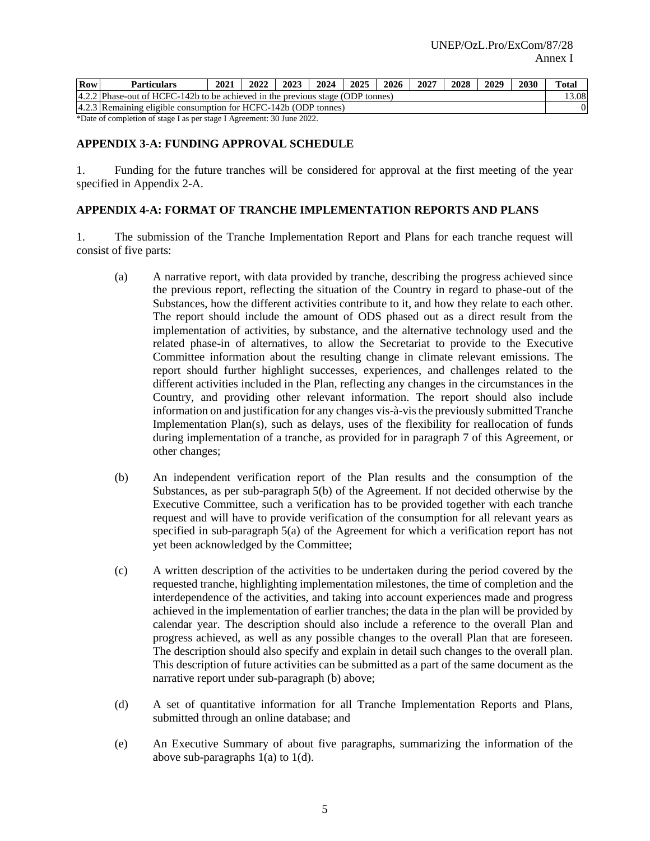| <b>Row</b> | <b>Particulars</b>                                                             | 2021 | 2022 | 2023 | 2024 | 2025 | 2026 | 2027 | 2028 | 2029 | 2030 | <b>Total</b> |
|------------|--------------------------------------------------------------------------------|------|------|------|------|------|------|------|------|------|------|--------------|
|            | 4.2.2 Phase-out of HCFC-142b to be achieved in the previous stage (ODP tonnes) |      |      |      |      |      |      |      |      |      |      | 13.08        |
|            | 4.2.3 Remaining eligible consumption for HCFC-142b (ODP tonnes)                |      |      |      |      |      |      |      |      |      |      |              |

\*Date of completion of stage I as per stage I Agreement: 30 June 2022.

#### **APPENDIX 3-A: FUNDING APPROVAL SCHEDULE**

1. Funding for the future tranches will be considered for approval at the first meeting of the year specified in Appendix 2-A.

#### **APPENDIX 4-A: FORMAT OF TRANCHE IMPLEMENTATION REPORTS AND PLANS**

1. The submission of the Tranche Implementation Report and Plans for each tranche request will consist of five parts:

- (a) A narrative report, with data provided by tranche, describing the progress achieved since the previous report, reflecting the situation of the Country in regard to phase-out of the Substances, how the different activities contribute to it, and how they relate to each other. The report should include the amount of ODS phased out as a direct result from the implementation of activities, by substance, and the alternative technology used and the related phase-in of alternatives, to allow the Secretariat to provide to the Executive Committee information about the resulting change in climate relevant emissions. The report should further highlight successes, experiences, and challenges related to the different activities included in the Plan, reflecting any changes in the circumstances in the Country, and providing other relevant information. The report should also include information on and justification for any changes vis-à-vis the previously submitted Tranche Implementation Plan(s), such as delays, uses of the flexibility for reallocation of funds during implementation of a tranche, as provided for in paragraph 7 of this Agreement, or other changes;
- (b) An independent verification report of the Plan results and the consumption of the Substances, as per sub-paragraph 5(b) of the Agreement. If not decided otherwise by the Executive Committee, such a verification has to be provided together with each tranche request and will have to provide verification of the consumption for all relevant years as specified in sub-paragraph 5(a) of the Agreement for which a verification report has not yet been acknowledged by the Committee;
- (c) A written description of the activities to be undertaken during the period covered by the requested tranche, highlighting implementation milestones, the time of completion and the interdependence of the activities, and taking into account experiences made and progress achieved in the implementation of earlier tranches; the data in the plan will be provided by calendar year. The description should also include a reference to the overall Plan and progress achieved, as well as any possible changes to the overall Plan that are foreseen. The description should also specify and explain in detail such changes to the overall plan. This description of future activities can be submitted as a part of the same document as the narrative report under sub-paragraph (b) above;
- (d) A set of quantitative information for all Tranche Implementation Reports and Plans, submitted through an online database; and
- (e) An Executive Summary of about five paragraphs, summarizing the information of the above sub-paragraphs 1(a) to 1(d).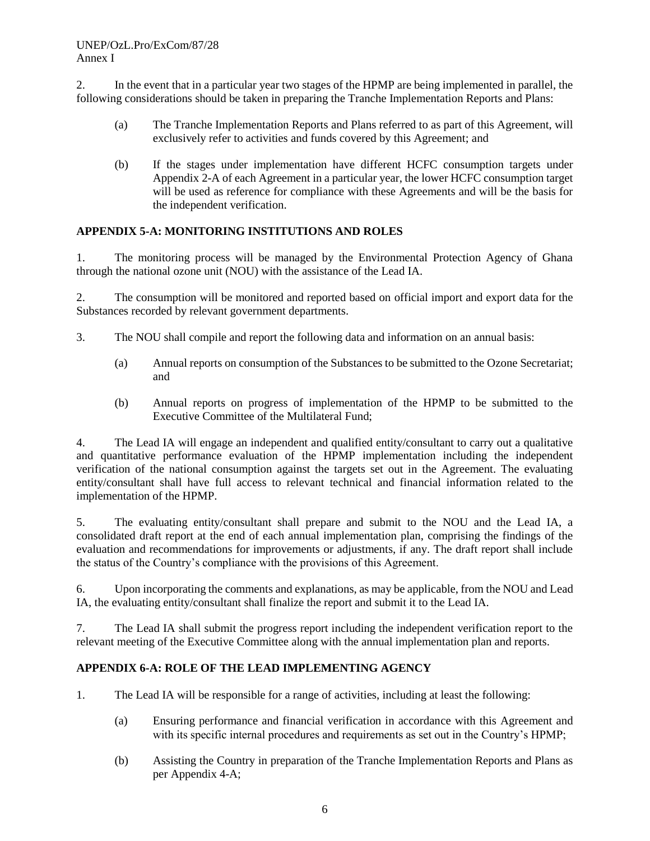2. In the event that in a particular year two stages of the HPMP are being implemented in parallel, the following considerations should be taken in preparing the Tranche Implementation Reports and Plans:

- (a) The Tranche Implementation Reports and Plans referred to as part of this Agreement, will exclusively refer to activities and funds covered by this Agreement; and
- (b) If the stages under implementation have different HCFC consumption targets under Appendix 2-A of each Agreement in a particular year, the lower HCFC consumption target will be used as reference for compliance with these Agreements and will be the basis for the independent verification.

#### **APPENDIX 5-A: MONITORING INSTITUTIONS AND ROLES**

1. The monitoring process will be managed by the Environmental Protection Agency of Ghana through the national ozone unit (NOU) with the assistance of the Lead IA.

2. The consumption will be monitored and reported based on official import and export data for the Substances recorded by relevant government departments.

- 3. The NOU shall compile and report the following data and information on an annual basis:
	- (a) Annual reports on consumption of the Substances to be submitted to the Ozone Secretariat; and
	- (b) Annual reports on progress of implementation of the HPMP to be submitted to the Executive Committee of the Multilateral Fund;

4. The Lead IA will engage an independent and qualified entity/consultant to carry out a qualitative and quantitative performance evaluation of the HPMP implementation including the independent verification of the national consumption against the targets set out in the Agreement. The evaluating entity/consultant shall have full access to relevant technical and financial information related to the implementation of the HPMP.

5. The evaluating entity/consultant shall prepare and submit to the NOU and the Lead IA, a consolidated draft report at the end of each annual implementation plan, comprising the findings of the evaluation and recommendations for improvements or adjustments, if any. The draft report shall include the status of the Country's compliance with the provisions of this Agreement.

6. Upon incorporating the comments and explanations, as may be applicable, from the NOU and Lead IA, the evaluating entity/consultant shall finalize the report and submit it to the Lead IA.

7. The Lead IA shall submit the progress report including the independent verification report to the relevant meeting of the Executive Committee along with the annual implementation plan and reports.

#### **APPENDIX 6-A: ROLE OF THE LEAD IMPLEMENTING AGENCY**

- 1. The Lead IA will be responsible for a range of activities, including at least the following:
	- (a) Ensuring performance and financial verification in accordance with this Agreement and with its specific internal procedures and requirements as set out in the Country's HPMP;
	- (b) Assisting the Country in preparation of the Tranche Implementation Reports and Plans as per Appendix 4-A;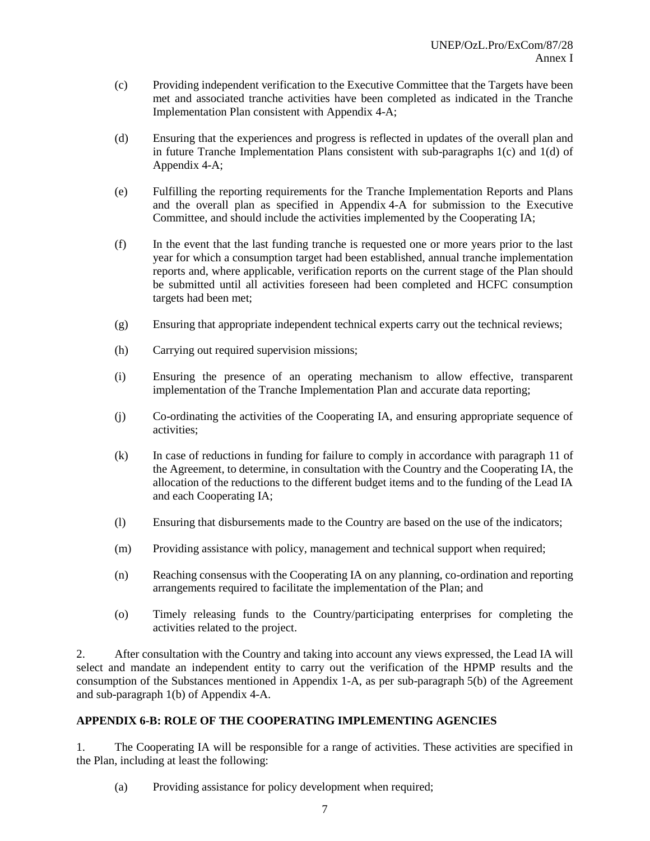- (c) Providing independent verification to the Executive Committee that the Targets have been met and associated tranche activities have been completed as indicated in the Tranche Implementation Plan consistent with Appendix 4-A;
- (d) Ensuring that the experiences and progress is reflected in updates of the overall plan and in future Tranche Implementation Plans consistent with sub-paragraphs 1(c) and 1(d) of Appendix 4-A;
- (e) Fulfilling the reporting requirements for the Tranche Implementation Reports and Plans and the overall plan as specified in Appendix 4-A for submission to the Executive Committee, and should include the activities implemented by the Cooperating IA;
- (f) In the event that the last funding tranche is requested one or more years prior to the last year for which a consumption target had been established, annual tranche implementation reports and, where applicable, verification reports on the current stage of the Plan should be submitted until all activities foreseen had been completed and HCFC consumption targets had been met;
- (g) Ensuring that appropriate independent technical experts carry out the technical reviews;
- (h) Carrying out required supervision missions;
- (i) Ensuring the presence of an operating mechanism to allow effective, transparent implementation of the Tranche Implementation Plan and accurate data reporting;
- (j) Co-ordinating the activities of the Cooperating IA, and ensuring appropriate sequence of activities;
- (k) In case of reductions in funding for failure to comply in accordance with paragraph 11 of the Agreement, to determine, in consultation with the Country and the Cooperating IA, the allocation of the reductions to the different budget items and to the funding of the Lead IA and each Cooperating IA;
- (l) Ensuring that disbursements made to the Country are based on the use of the indicators;
- (m) Providing assistance with policy, management and technical support when required;
- (n) Reaching consensus with the Cooperating IA on any planning, co-ordination and reporting arrangements required to facilitate the implementation of the Plan; and
- (o) Timely releasing funds to the Country/participating enterprises for completing the activities related to the project.

2. After consultation with the Country and taking into account any views expressed, the Lead IA will select and mandate an independent entity to carry out the verification of the HPMP results and the consumption of the Substances mentioned in Appendix 1-A, as per sub-paragraph 5(b) of the Agreement and sub-paragraph 1(b) of Appendix 4-A.

#### **APPENDIX 6-B: ROLE OF THE COOPERATING IMPLEMENTING AGENCIES**

1. The Cooperating IA will be responsible for a range of activities. These activities are specified in the Plan, including at least the following:

(a) Providing assistance for policy development when required;